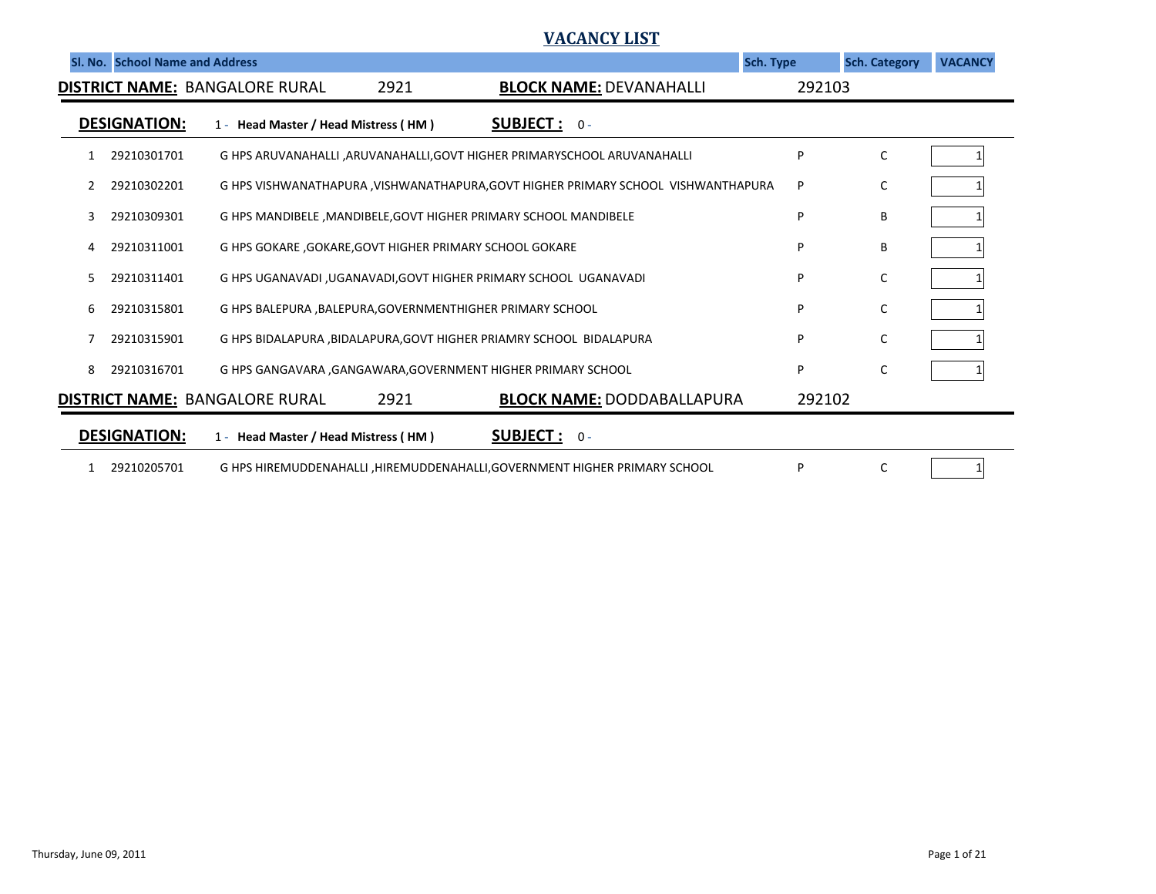## **VACANCY LIST**

|    | SI. No. School Name and Address |                                                                                    | <b>Sch. Type</b>                  |        | <b>Sch. Category</b> | <b>VACANCY</b> |
|----|---------------------------------|------------------------------------------------------------------------------------|-----------------------------------|--------|----------------------|----------------|
|    |                                 | <b>DISTRICT NAME: BANGALORE RURAL</b><br>2921<br><b>BLOCK NAME: DEVANAHALLI</b>    |                                   | 292103 |                      |                |
|    | <b>DESIGNATION:</b>             | <b>SUBJECT</b> : $0 -$<br>1 - Head Master / Head Mistress (HM)                     |                                   |        |                      |                |
|    | 29210301701                     | G HPS ARUVANAHALLI , ARUVANAHALLI, GOVT HIGHER PRIMARYSCHOOL ARUVANAHALLI          |                                   | P      | C                    |                |
|    | 29210302201                     | G HPS VISHWANATHAPURA , VISHWANATHAPURA, GOVT HIGHER PRIMARY SCHOOL VISHWANTHAPURA |                                   | P      | с                    |                |
| 3  | 29210309301                     | G HPS MANDIBELE, MANDIBELE, GOVT HIGHER PRIMARY SCHOOL MANDIBELE                   |                                   | P      | В                    |                |
| 4  | 29210311001                     | G HPS GOKARE, GOKARE, GOVT HIGHER PRIMARY SCHOOL GOKARE                            |                                   | P      | В                    |                |
| 5. | 29210311401                     | G HPS UGANAVADI, UGANAVADI, GOVT HIGHER PRIMARY SCHOOL UGANAVADI                   |                                   | P      | С                    |                |
| 6  | 29210315801                     | G HPS BALEPURA, BALEPURA, GOVERNMENTHIGHER PRIMARY SCHOOL                          |                                   | P      | С                    |                |
|    | 29210315901                     | G HPS BIDALAPURA, BIDALAPURA, GOVT HIGHER PRIAMRY SCHOOL BIDALAPURA                |                                   | P      | С                    |                |
| 8  | 29210316701                     | G HPS GANGAVARA , GANGAWARA, GOVERNMENT HIGHER PRIMARY SCHOOL                      |                                   | P      | С                    |                |
|    |                                 | 2921<br><b>DISTRICT NAME: BANGALORE RURAL</b>                                      | <b>BLOCK NAME: DODDABALLAPURA</b> | 292102 |                      |                |
|    | <b>DESIGNATION:</b>             | <b>SUBJECT</b> : $0 -$<br>1 - Head Master / Head Mistress (HM)                     |                                   |        |                      |                |
|    | 29210205701                     | G HPS HIREMUDDENAHALLI , HIREMUDDENAHALLI, GOVERNMENT HIGHER PRIMARY SCHOOL        |                                   | P      | C                    |                |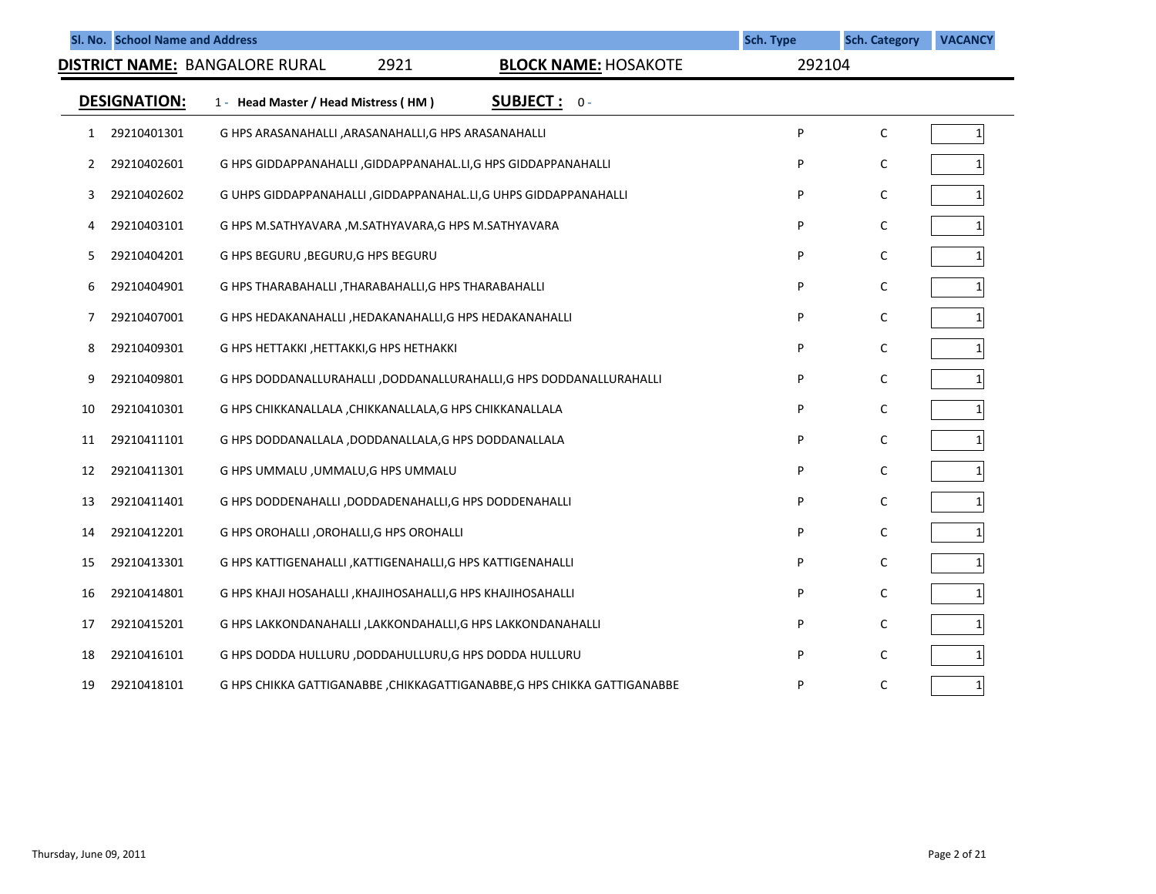|    | Sl. No. School Name and Address |                                                                         |                             | <b>Sch. Type</b> | <b>Sch. Category</b> | <b>VACANCY</b> |
|----|---------------------------------|-------------------------------------------------------------------------|-----------------------------|------------------|----------------------|----------------|
|    |                                 | 2921<br>DISTRICT NAME: BANGALORE RURAL                                  | <b>BLOCK NAME: HOSAKOTE</b> | 292104           |                      |                |
|    | <b>DESIGNATION:</b>             | 1 - Head Master / Head Mistress (HM)                                    | <b>SUBJECT :</b><br>$0 -$   |                  |                      |                |
| 1  | 29210401301                     | G HPS ARASANAHALLI , ARASANAHALLI, G HPS ARASANAHALLI                   |                             | P                | C                    | $\mathbf{1}$   |
| 2  | 29210402601                     | G HPS GIDDAPPANAHALLI , GIDDAPPANAHAL.LI, G HPS GIDDAPPANAHALLI         |                             | P                | C                    |                |
| 3  | 29210402602                     | G UHPS GIDDAPPANAHALLI, GIDDAPPANAHAL.LI, G UHPS GIDDAPPANAHALLI        |                             | P                | C                    |                |
| 4  | 29210403101                     | G HPS M.SATHYAVARA , M.SATHYAVARA, G HPS M.SATHYAVARA                   |                             | P                | C                    |                |
| 5  | 29210404201                     | G HPS BEGURU, BEGURU, G HPS BEGURU                                      |                             | P                | C                    | 1              |
| 6  | 29210404901                     | G HPS THARABAHALLI, THARABAHALLI, G HPS THARABAHALLI                    |                             | P                | С                    |                |
| 7  | 29210407001                     | G HPS HEDAKANAHALLI , HEDAKANAHALLI, G HPS HEDAKANAHALLI                |                             | P                | С                    |                |
| 8  | 29210409301                     | G HPS HETTAKKI, HETTAKKI, G HPS HETHAKKI                                |                             | P                | C                    |                |
| 9  | 29210409801                     | G HPS DODDANALLURAHALLI ,DODDANALLURAHALLI, G HPS DODDANALLURAHALLI     |                             | P                | C                    |                |
| 10 | 29210410301                     | G HPS CHIKKANALLALA , CHIKKANALLALA, G HPS CHIKKANALLALA                |                             | P                | C                    |                |
| 11 | 29210411101                     | G HPS DODDANALLALA, DODDANALLALA, G HPS DODDANALLALA                    |                             | P                | C                    |                |
| 12 | 29210411301                     | G HPS UMMALU , UMMALU, G HPS UMMALU                                     |                             | P                | C                    | 1              |
| 13 | 29210411401                     | G HPS DODDENAHALLI , DODDADENAHALLI, G HPS DODDENAHALLI                 |                             | P                | С                    |                |
| 14 | 29210412201                     | G HPS OROHALLI , OROHALLI, G HPS OROHALLI                               |                             | P                | С                    |                |
| 15 | 29210413301                     | G HPS KATTIGENAHALLI , KATTIGENAHALLI, G HPS KATTIGENAHALLI             |                             | P                | C                    | $\mathbf{1}$   |
| 16 | 29210414801                     | G HPS KHAJI HOSAHALLI , KHAJIHOSAHALLI, G HPS KHAJIHOSAHALLI            |                             | P                | С                    |                |
| 17 | 29210415201                     | G HPS LAKKONDANAHALLI ,LAKKONDAHALLI,G HPS LAKKONDANAHALLI              |                             | P                | C                    |                |
| 18 | 29210416101                     | G HPS DODDA HULLURU ,DODDAHULLURU,G HPS DODDA HULLURU                   |                             | P                | C                    |                |
| 19 | 29210418101                     | G HPS CHIKKA GATTIGANABBE ,CHIKKAGATTIGANABBE,G HPS CHIKKA GATTIGANABBE |                             | P                | C                    | 1              |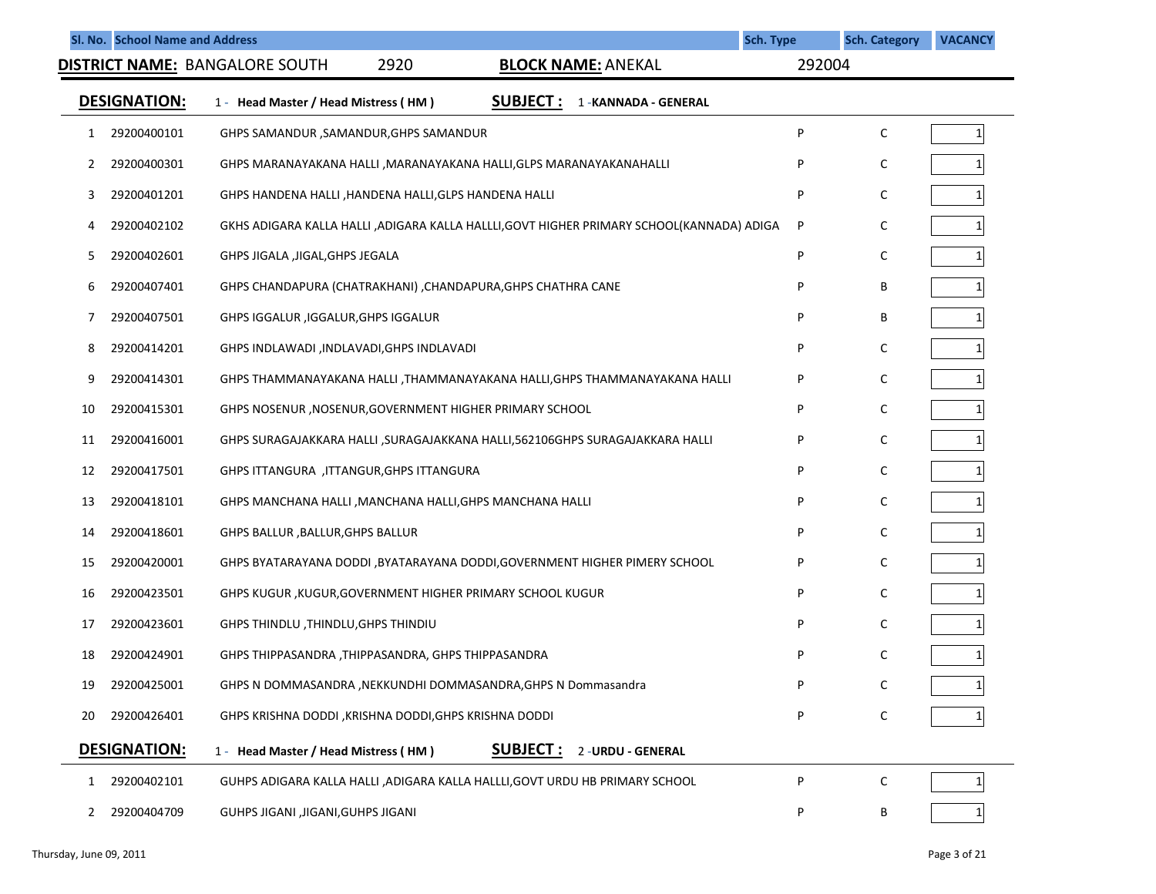|    | Sl. No. School Name and Address |                                                                                          | <b>Sch. Type</b> | <b>Sch. Category</b> | <b>VACANCY</b> |
|----|---------------------------------|------------------------------------------------------------------------------------------|------------------|----------------------|----------------|
|    |                                 | 2920<br>DISTRICT NAME: BANGALORE SOUTH<br><b>BLOCK NAME: ANEKAL</b>                      | 292004           |                      |                |
|    | <b>DESIGNATION:</b>             | <b>SUBJECT:</b><br>1 - Head Master / Head Mistress (HM)<br>1 - KANNADA - GENERAL         |                  |                      |                |
| 1  | 29200400101                     | GHPS SAMANDUR ,SAMANDUR,GHPS SAMANDUR                                                    | P                | C                    | 1              |
| 2  | 29200400301                     | GHPS MARANAYAKANA HALLI , MARANAYAKANA HALLI, GLPS MARANAYAKANAHALLI                     | P                | C                    |                |
| 3  | 29200401201                     | GHPS HANDENA HALLI, HANDENA HALLI, GLPS HANDENA HALLI                                    | P                | C                    |                |
| 4  | 29200402102                     | GKHS ADIGARA KALLA HALLI ,ADIGARA KALLA HALLLI,GOVT HIGHER PRIMARY SCHOOL(KANNADA) ADIGA | P                | C                    |                |
| 5. | 29200402601                     | GHPS JIGALA , JIGAL, GHPS JEGALA                                                         | P                | C                    |                |
| 6  | 29200407401                     | GHPS CHANDAPURA (CHATRAKHANI), CHANDAPURA, GHPS CHATHRA CANE                             | P                | В                    |                |
| 7  | 29200407501                     | GHPS IGGALUR , IGGALUR, GHPS IGGALUR                                                     | P                | В                    |                |
| 8  | 29200414201                     | GHPS INDLAWADI , INDLAVADI, GHPS INDLAVADI                                               | P                | C                    |                |
| 9  | 29200414301                     | GHPS THAMMANAYAKANA HALLI ,THAMMANAYAKANA HALLI,GHPS THAMMANAYAKANA HALLI                | P                | C                    |                |
| 10 | 29200415301                     | GHPS NOSENUR, NOSENUR, GOVERNMENT HIGHER PRIMARY SCHOOL                                  | P                | C                    |                |
| 11 | 29200416001                     | GHPS SURAGAJAKKARA HALLI ,SURAGAJAKKANA HALLI,562106GHPS SURAGAJAKKARA HALLI             | P                | C                    |                |
| 12 | 29200417501                     | GHPS ITTANGURA, ITTANGUR, GHPS ITTANGURA                                                 | P                | C                    |                |
| 13 | 29200418101                     | GHPS MANCHANA HALLI, MANCHANA HALLI, GHPS MANCHANA HALLI                                 | P                | C                    |                |
| 14 | 29200418601                     | GHPS BALLUR, BALLUR, GHPS BALLUR                                                         | P                | C                    |                |
| 15 | 29200420001                     | GHPS BYATARAYANA DODDI, BYATARAYANA DODDI, GOVERNMENT HIGHER PIMERY SCHOOL               | P                | C                    |                |
| 16 | 29200423501                     | GHPS KUGUR, KUGUR, GOVERNMENT HIGHER PRIMARY SCHOOL KUGUR                                | P                | C                    |                |
| 17 | 29200423601                     | GHPS THINDLU, THINDLU, GHPS THINDIU                                                      | P                | C                    |                |
| 18 | 29200424901                     | GHPS THIPPASANDRA, THIPPASANDRA, GHPS THIPPASANDRA                                       |                  | С                    |                |
| 19 | 29200425001                     | GHPS N DOMMASANDRA, NEKKUNDHI DOMMASANDRA, GHPS N Dommasandra                            | P                | C                    | $\mathbf{1}$   |
| 20 | 29200426401                     | GHPS KRISHNA DODDI, KRISHNA DODDI, GHPS KRISHNA DODDI                                    | P                | С                    |                |
|    | <b>DESIGNATION:</b>             | <b>SUBJECT :</b><br>2 - URDU - GENERAL<br>1 - Head Master / Head Mistress (HM)           |                  |                      |                |
| 1  | 29200402101                     | GUHPS ADIGARA KALLA HALLI ,ADIGARA KALLA HALLLI,GOVT URDU HB PRIMARY SCHOOL              | P                | C                    |                |
| 2  | 29200404709                     | GUHPS JIGANI , JIGANI, GUHPS JIGANI                                                      | P                | Β                    |                |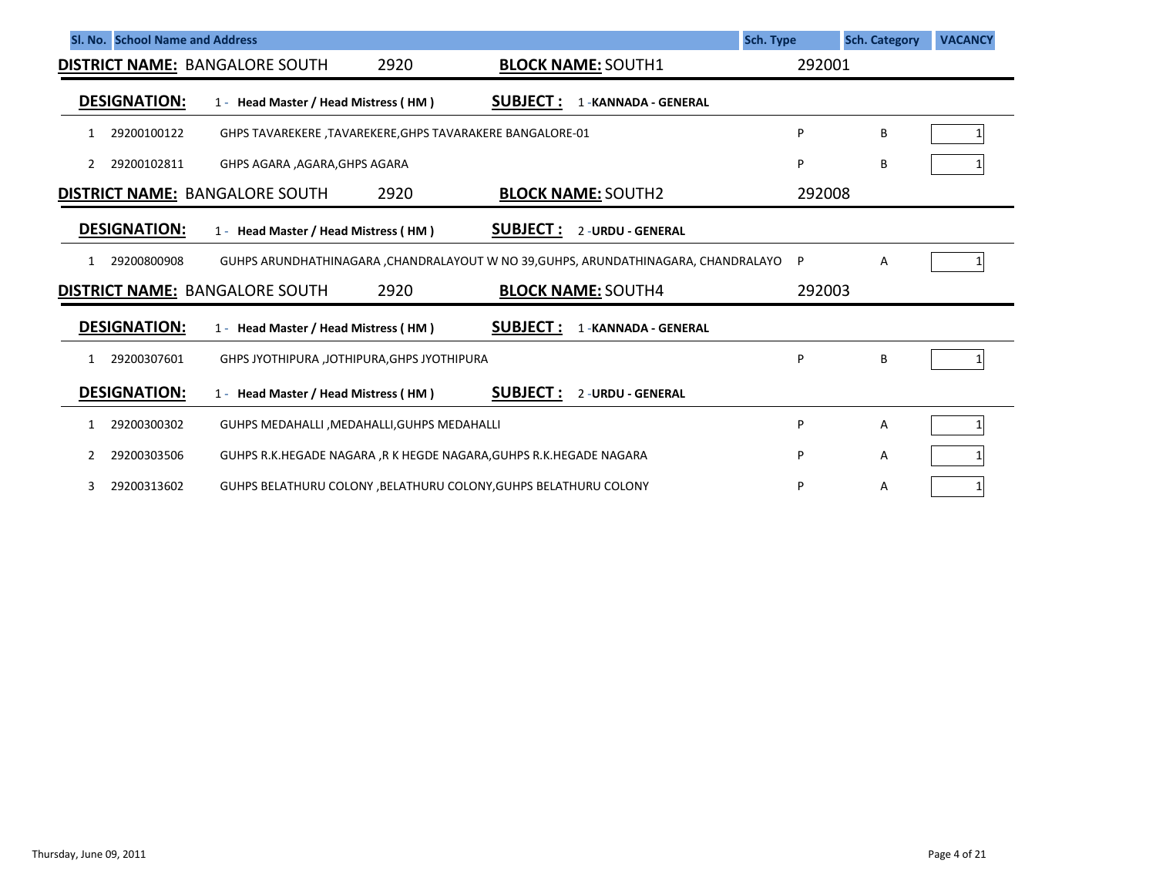|    | SI. No. School Name and Address |                                                                    |      |                  |                                                                                    | Sch. Type | <b>Sch. Category</b> | <b>VACANCY</b> |
|----|---------------------------------|--------------------------------------------------------------------|------|------------------|------------------------------------------------------------------------------------|-----------|----------------------|----------------|
|    |                                 | <b>DISTRICT NAME: BANGALORE SOUTH</b>                              | 2920 |                  | <b>BLOCK NAME: SOUTH1</b>                                                          | 292001    |                      |                |
|    | <b>DESIGNATION:</b>             | 1 - Head Master / Head Mistress (HM)                               |      | <b>SUBJECT:</b>  | 1 - KANNADA - GENERAL                                                              |           |                      |                |
| 1  | 29200100122                     | GHPS TAVAREKERE , TAVAREKERE, GHPS TAVARAKERE BANGALORE-01         |      |                  |                                                                                    | Þ         | B                    |                |
| 2  | 29200102811                     | GHPS AGARA , AGARA, GHPS AGARA                                     |      |                  |                                                                                    | P         | B                    |                |
|    |                                 | <b>DISTRICT NAME: BANGALORE SOUTH</b>                              | 2920 |                  | <b>BLOCK NAME: SOUTH2</b>                                                          | 292008    |                      |                |
|    | <b>DESIGNATION:</b>             | 1 - Head Master / Head Mistress (HM)                               |      | <b>SUBJECT:</b>  | 2 - URDU - GENERAL                                                                 |           |                      |                |
| 1. | 29200800908                     |                                                                    |      |                  | GUHPS ARUNDHATHINAGARA, CHANDRALAYOUT W NO 39, GUHPS, ARUNDATHINAGARA, CHANDRALAYO | P         | Α                    |                |
|    |                                 | <b>DISTRICT NAME: BANGALORE SOUTH</b>                              | 2920 |                  | <b>BLOCK NAME: SOUTH4</b>                                                          | 292003    |                      |                |
|    | <b>DESIGNATION:</b>             | 1 - Head Master / Head Mistress (HM)                               |      | <u>SUBJECT :</u> | 1 - KANNADA - GENERAL                                                              |           |                      |                |
| 1. | 29200307601                     | GHPS JYOTHIPURA ,JOTHIPURA, GHPS JYOTHIPURA                        |      |                  |                                                                                    | Þ         | B                    |                |
|    | <b>DESIGNATION:</b>             | 1 - Head Master / Head Mistress (HM)                               |      | <b>SUBJECT:</b>  | 2 - URDU - GENERAL                                                                 |           |                      |                |
|    | 29200300302                     | GUHPS MEDAHALLI, MEDAHALLI, GUHPS MEDAHALLI                        |      |                  |                                                                                    | Þ         | Α                    |                |
|    | 29200303506                     | GUHPS R.K.HEGADE NAGARA ,R K HEGDE NAGARA, GUHPS R.K.HEGADE NAGARA |      |                  |                                                                                    | P         | Α                    |                |
| 3  | 29200313602                     | GUHPS BELATHURU COLONY, BELATHURU COLONY, GUHPS BELATHURU COLONY   |      |                  |                                                                                    | P         | Α                    |                |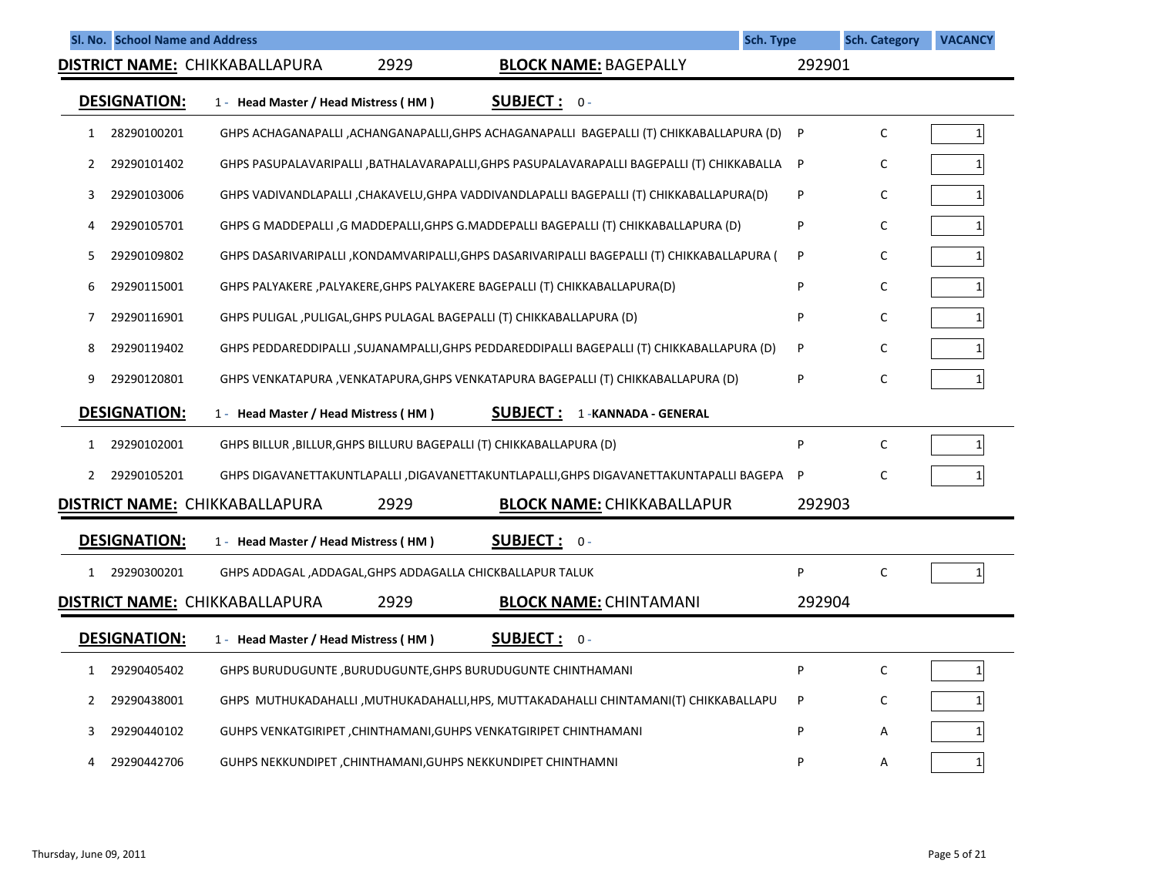|              | Sl. No. School Name and Address |                                       |      |                                                                                             | <b>Sch. Type</b> | <b>Sch. Category</b> | <b>VACANCY</b>  |
|--------------|---------------------------------|---------------------------------------|------|---------------------------------------------------------------------------------------------|------------------|----------------------|-----------------|
|              |                                 | DISTRICT NAME: CHIKKABALLAPURA        | 2929 | <b>BLOCK NAME: BAGEPALLY</b>                                                                | 292901           |                      |                 |
|              | <b>DESIGNATION:</b>             | 1 - Head Master / Head Mistress (HM)  |      | <b>SUBJECT: 0-</b>                                                                          |                  |                      |                 |
| 1            | 28290100201                     |                                       |      | GHPS ACHAGANAPALLI ,ACHANGANAPALLI,GHPS ACHAGANAPALLI BAGEPALLI (T) CHIKKABALLAPURA (D)     | P                | $\mathsf{C}$         | $\mathbf{1}$    |
| 2            | 29290101402                     |                                       |      | GHPS PASUPALAVARIPALLI ,BATHALAVARAPALLI,GHPS PASUPALAVARAPALLI BAGEPALLI (T) CHIKKABALLA P |                  | C                    | $1\overline{ }$ |
| 3            | 29290103006                     |                                       |      | GHPS VADIVANDLAPALLI ,CHAKAVELU,GHPA VADDIVANDLAPALLI BAGEPALLI (T) CHIKKABALLAPURA(D)      | P                | $\mathsf C$          | $1\vert$        |
| 4            | 29290105701                     |                                       |      | GHPS G MADDEPALLI ,G MADDEPALLI,GHPS G.MADDEPALLI BAGEPALLI (T) CHIKKABALLAPURA (D)         | P                | С                    | $\mathbf{1}$    |
| 5            | 29290109802                     |                                       |      | GHPS DASARIVARIPALLI ,KONDAMVARIPALLI,GHPS DASARIVARIPALLI BAGEPALLI (T) CHIKKABALLAPURA (  | P                | C                    |                 |
| 6            | 29290115001                     |                                       |      | GHPS PALYAKERE ,PALYAKERE,GHPS PALYAKERE BAGEPALLI (T) CHIKKABALLAPURA(D)                   | P                | $\mathsf{C}$         | $\mathbf{1}$    |
| 7            | 29290116901                     |                                       |      | GHPS PULIGAL, PULIGAL, GHPS PULAGAL BAGEPALLI (T) CHIKKABALLAPURA (D)                       | P                | C                    |                 |
| 8            | 29290119402                     |                                       |      | GHPS PEDDAREDDIPALLI ,SUJANAMPALLI,GHPS PEDDAREDDIPALLI BAGEPALLI (T) CHIKKABALLAPURA (D)   | P                | C                    | 1               |
| 9            | 29290120801                     |                                       |      | GHPS VENKATAPURA , VENKATAPURA, GHPS VENKATAPURA BAGEPALLI (T) CHIKKABALLAPURA (D)          | P                | C                    | $\mathbf{1}$    |
|              | <b>DESIGNATION:</b>             | 1 - Head Master / Head Mistress (HM)  |      | <b>SUBJECT :</b><br>1 - KANNADA - GENERAL                                                   |                  |                      |                 |
| 1            | 29290102001                     |                                       |      | GHPS BILLUR, BILLUR, GHPS BILLURU BAGEPALLI (T) CHIKKABALLAPURA (D)                         | P                | $\mathsf C$          | $\mathbf{1}$    |
| $\mathbf{2}$ | 29290105201                     |                                       |      | GHPS DIGAVANETTAKUNTLAPALLI ,DIGAVANETTAKUNTLAPALLI,GHPS DIGAVANETTAKUNTAPALLI BAGEPA P     |                  | $\mathsf{C}$         |                 |
|              |                                 | <b>DISTRICT NAME: CHIKKABALLAPURA</b> | 2929 | <b>BLOCK NAME: CHIKKABALLAPUR</b>                                                           | 292903           |                      |                 |
|              | <b>DESIGNATION:</b>             | 1 - Head Master / Head Mistress (HM)  |      | SUBJECT: 0-                                                                                 |                  |                      |                 |
| 1            | 29290300201                     |                                       |      | GHPS ADDAGAL, ADDAGAL, GHPS ADDAGALLA CHICKBALLAPUR TALUK                                   | P                | $\mathsf C$          | $\mathbf{1}$    |
|              |                                 | <b>DISTRICT NAME: CHIKKABALLAPURA</b> | 2929 | <b>BLOCK NAME: CHINTAMANI</b>                                                               | 292904           |                      |                 |
|              | <b>DESIGNATION:</b>             | 1 - Head Master / Head Mistress (HM)  |      | SUBJECT: 0-                                                                                 |                  |                      |                 |
| 1            | 29290405402                     |                                       |      | GHPS BURUDUGUNTE, BURUDUGUNTE, GHPS BURUDUGUNTE CHINTHAMANI                                 | P                | $\mathsf C$          | $1\overline{ }$ |
| 2            | 29290438001                     |                                       |      | GHPS MUTHUKADAHALLI, MUTHUKADAHALLI, HPS, MUTTAKADAHALLI CHINTAMANI(T) CHIKKABALLAPU        | P                | C                    |                 |
| 3            | 29290440102                     |                                       |      | GUHPS VENKATGIRIPET, CHINTHAMANI, GUHPS VENKATGIRIPET CHINTHAMANI                           | P                | Α                    |                 |
| 4            | 29290442706                     |                                       |      | GUHPS NEKKUNDIPET, CHINTHAMANI, GUHPS NEKKUNDIPET CHINTHAMNI                                | P                | А                    | $\mathbf{1}$    |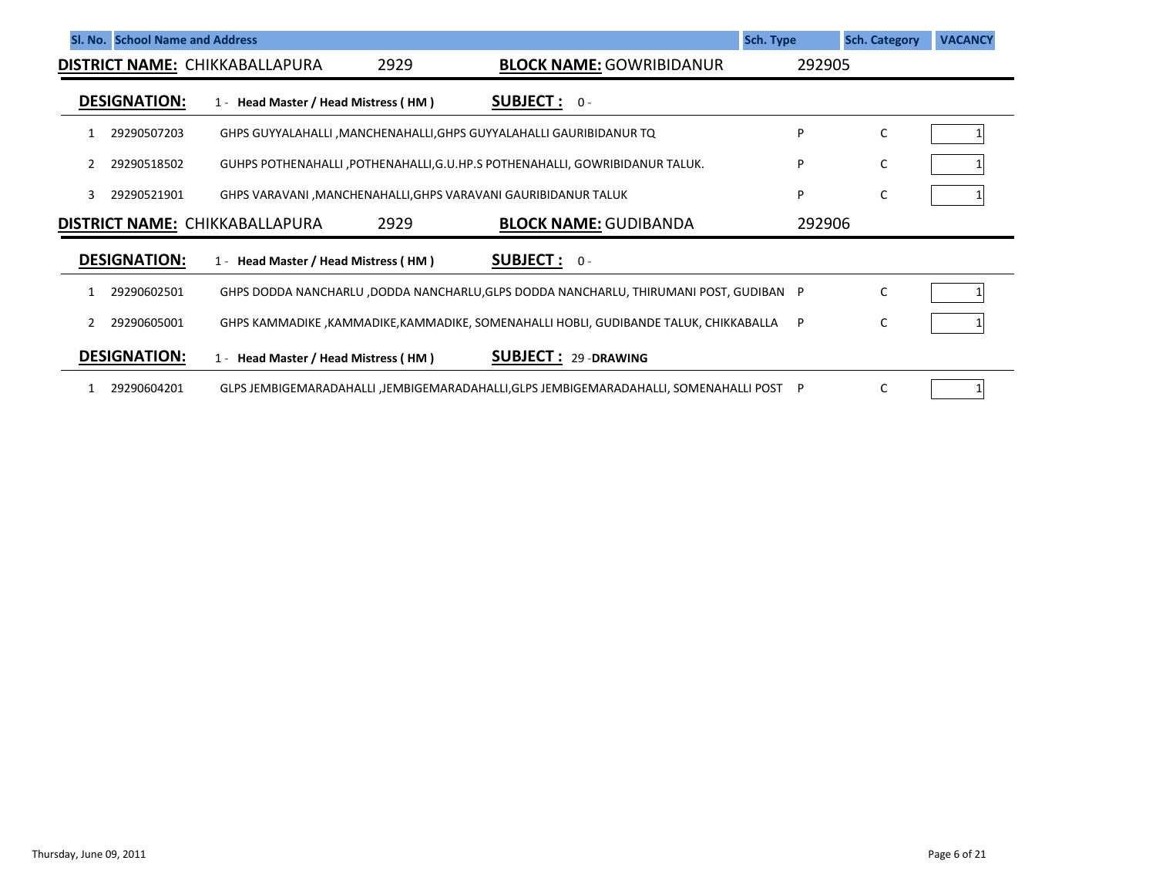|   | Sl. No. School Name and Address |                                       |      |                                                                                         | <b>Sch. Type</b> | <b>Sch. Category</b> | <b>VACANCY</b> |
|---|---------------------------------|---------------------------------------|------|-----------------------------------------------------------------------------------------|------------------|----------------------|----------------|
|   |                                 | <b>DISTRICT NAME: CHIKKABALLAPURA</b> | 2929 | <b>BLOCK NAME: GOWRIBIDANUR</b>                                                         | 292905           |                      |                |
|   | <b>DESIGNATION:</b>             | 1 - Head Master / Head Mistress (HM)  |      | <b>SUBJECT:</b> $0 -$                                                                   |                  |                      |                |
|   | 29290507203                     |                                       |      | GHPS GUYYALAHALLI, MANCHENAHALLI, GHPS GUYYALAHALLI GAURIBIDANUR TQ                     | P                | C                    |                |
|   | 29290518502                     |                                       |      | GUHPS POTHENAHALLI, POTHENAHALLI, G.U.HP.S POTHENAHALLI, GOWRIBIDANUR TALUK.            | P                | С                    |                |
| 3 | 29290521901                     |                                       |      | GHPS VARAVANI, MANCHENAHALLI, GHPS VARAVANI GAURIBIDANUR TALUK                          | P                | C                    |                |
|   |                                 | <b>DISTRICT NAME: CHIKKABALLAPURA</b> | 2929 | <b>BLOCK NAME: GUDIBANDA</b>                                                            | 292906           |                      |                |
|   | <b>DESIGNATION:</b>             | 1 - Head Master / Head Mistress (HM)  |      | <b>SUBJECT:</b> $0 -$                                                                   |                  |                      |                |
|   | 29290602501                     |                                       |      | GHPS DODDA NANCHARLU ,DODDA NANCHARLU, GLPS DODDA NANCHARLU, THIRUMANI POST, GUDIBAN P  |                  | C                    |                |
|   | 29290605001                     |                                       |      | GHPS KAMMADIKE ,KAMMADIKE,KAMMADIKE, SOMENAHALLI HOBLI, GUDIBANDE TALUK, CHIKKABALLA    | P                | C                    |                |
|   | <b>DESIGNATION:</b>             | 1 - Head Master / Head Mistress (HM)  |      | <b>SUBJECT: 29-DRAWING</b>                                                              |                  |                      |                |
|   | 29290604201                     |                                       |      | GLPS JEMBIGEMARADAHALLI ,JEMBIGEMARADAHALLI,GLPS JEMBIGEMARADAHALLI, SOMENAHALLI POST P |                  | C                    |                |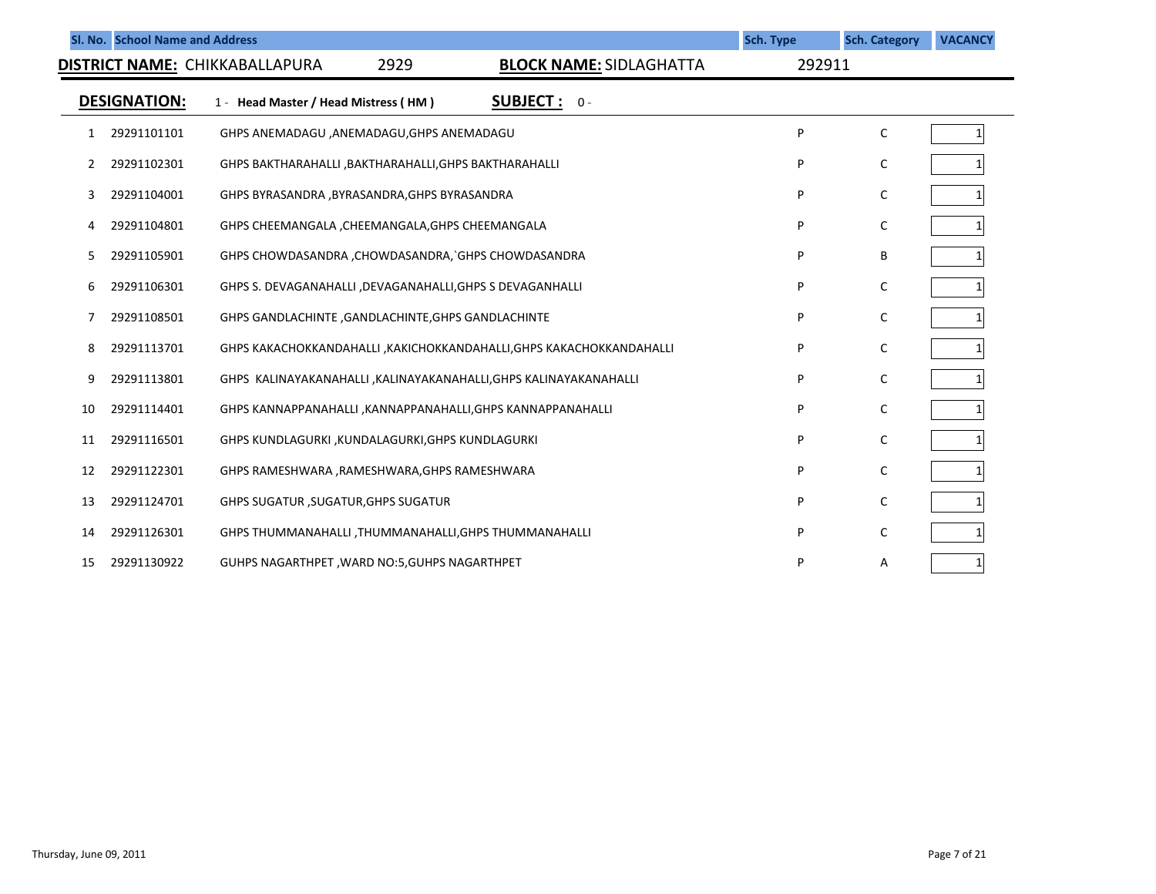|    | Sl. No. School Name and Address |                                                                       |                                | Sch. Type | <b>Sch. Category</b> | <b>VACANCY</b> |
|----|---------------------------------|-----------------------------------------------------------------------|--------------------------------|-----------|----------------------|----------------|
|    |                                 | 2929<br><b>DISTRICT NAME: CHIKKABALLAPURA</b>                         | <b>BLOCK NAME: SIDLAGHATTA</b> | 292911    |                      |                |
|    | DESIGNATION:                    | 1 - Head Master / Head Mistress (HM)                                  | <b>SUBJECT</b> : $0 -$         |           |                      |                |
| 1  | 29291101101                     | GHPS ANEMADAGU ,ANEMADAGU,GHPS ANEMADAGU                              |                                | P         | C                    |                |
| 2  | 29291102301                     | GHPS BAKTHARAHALLI, BAKTHARAHALLI, GHPS BAKTHARAHALLI                 |                                | P         | C                    |                |
| 3  | 29291104001                     | GHPS BYRASANDRA , BYRASANDRA, GHPS BYRASANDRA                         |                                | P         | C                    |                |
| 4  | 29291104801                     | GHPS CHEEMANGALA, CHEEMANGALA, GHPS CHEEMANGALA                       |                                | P         | C                    |                |
| 5. | 29291105901                     | GHPS CHOWDASANDRA , CHOWDASANDRA, `GHPS CHOWDASANDRA                  |                                | P         | B                    |                |
| 6  | 29291106301                     | GHPS S. DEVAGANAHALLI , DEVAGANAHALLI, GHPS S DEVAGANHALLI            |                                | P         | C                    |                |
| 7  | 29291108501                     | GHPS GANDLACHINTE, GANDLACHINTE, GHPS GANDLACHINTE                    |                                | P         | C                    |                |
| 8  | 29291113701                     | GHPS KAKACHOKKANDAHALLI , KAKICHOKKANDAHALLI, GHPS KAKACHOKKANDAHALLI |                                | P         | C                    |                |
| 9  | 29291113801                     | GHPS KALINAYAKANAHALLI , KALINAYAKANAHALLI, GHPS KALINAYAKANAHALLI    |                                | P         | C                    |                |
| 10 | 29291114401                     | GHPS KANNAPPANAHALLI , KANNAPPANAHALLI, GHPS KANNAPPANAHALLI          |                                | P         | C                    |                |
| 11 | 29291116501                     | GHPS KUNDLAGURKI, KUNDALAGURKI, GHPS KUNDLAGURKI                      |                                | P         | C                    |                |
| 12 | 29291122301                     | GHPS RAMESHWARA , RAMESHWARA, GHPS RAMESHWARA                         |                                | P         | C                    |                |
| 13 | 29291124701                     | <b>GHPS SUGATUR, SUGATUR, GHPS SUGATUR</b>                            |                                | P         | C                    |                |
| 14 | 29291126301                     | GHPS THUMMANAHALLI, THUMMANAHALLI, GHPS THUMMANAHALLI                 |                                | P         | C                    |                |
| 15 | 29291130922                     | GUHPS NAGARTHPET, WARD NO:5, GUHPS NAGARTHPET                         |                                | P         | Α                    |                |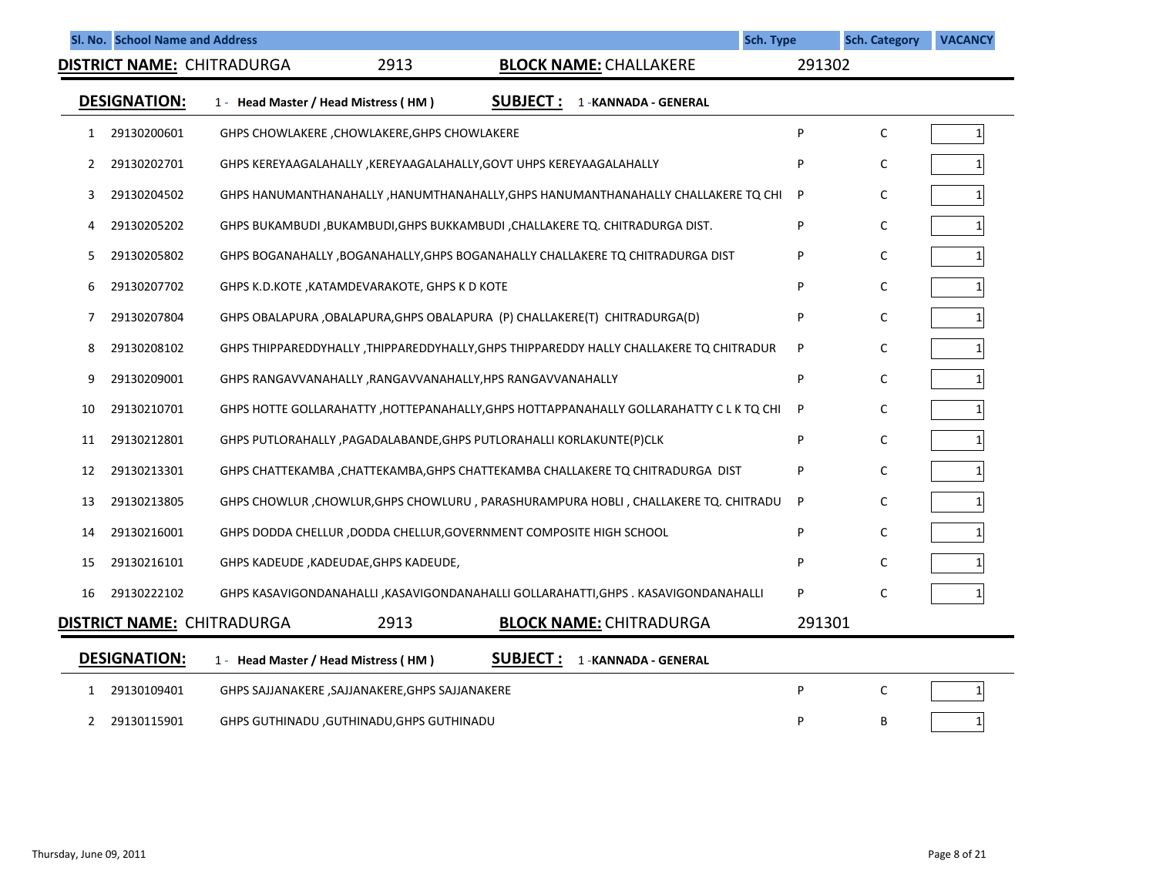|    | Sl. No. School Name and Address |                                                                      |                                                                                         | <b>Sch. Type</b> | <b>Sch. Category</b> | <b>VACANCY</b>  |
|----|---------------------------------|----------------------------------------------------------------------|-----------------------------------------------------------------------------------------|------------------|----------------------|-----------------|
|    |                                 | <b>DISTRICT NAME: CHITRADURGA</b><br>2913                            | <b>BLOCK NAME: CHALLAKERE</b>                                                           | 291302           |                      |                 |
|    | <b>DESIGNATION:</b>             | 1 - Head Master / Head Mistress (HM)                                 | <b>SUBJECT:</b><br>1 - KANNADA - GENERAL                                                |                  |                      |                 |
| 1  | 29130200601                     | GHPS CHOWLAKERE, CHOWLAKERE, GHPS CHOWLAKERE                         |                                                                                         | P                | $\mathsf{C}$         | $1\vert$        |
| 2  | 29130202701                     | GHPS KEREYAAGALAHALLY , KEREYAAGALAHALLY, GOVT UHPS KEREYAAGALAHALLY |                                                                                         | P                | $\mathsf{C}$         | $\mathbf{1}$    |
| 3  | 29130204502                     |                                                                      | GHPS HANUMANTHANAHALLY , HANUMTHANAHALLY, GHPS HANUMANTHANAHALLY CHALLAKERE TQ CHI      | P                | C                    | $\mathbf{1}$    |
| 4  | 29130205202                     |                                                                      | GHPS BUKAMBUDI,BUKAMBUDI,GHPS BUKKAMBUDI,CHALLAKERE TQ. CHITRADURGA DIST.               | P                | C                    | $1\vert$        |
| 5  | 29130205802                     |                                                                      | GHPS BOGANAHALLY, BOGANAHALLY, GHPS BOGANAHALLY CHALLAKERE TO CHITRADURGA DIST          | P                | C                    | $\mathbf{1}$    |
| 6  | 29130207702                     | GHPS K.D.KOTE, KATAMDEVARAKOTE, GHPS K D KOTE                        |                                                                                         | P                | C                    |                 |
| 7  | 29130207804                     |                                                                      | GHPS OBALAPURA ,OBALAPURA,GHPS OBALAPURA (P) CHALLAKERE(T) CHITRADURGA(D)               | P                | C                    | $1\overline{ }$ |
| 8  | 29130208102                     |                                                                      | GHPS THIPPAREDDYHALLY, THIPPAREDDYHALLY, GHPS THIPPAREDDY HALLY CHALLAKERE TQ CHITRADUR | P                | C                    | $1\vert$        |
| 9  | 29130209001                     | GHPS RANGAVVANAHALLY , RANGAVVANAHALLY, HPS RANGAVVANAHALLY          |                                                                                         | P                | C                    | $\mathbf{1}$    |
| 10 | 29130210701                     |                                                                      | GHPS HOTTE GOLLARAHATTY, HOTTEPANAHALLY, GHPS HOTTAPPANAHALLY GOLLARAHATTY C L K TQ CHI | P                | C                    | $\mathbf{1}$    |
| 11 | 29130212801                     | GHPS PUTLORAHALLY, PAGADALABANDE, GHPS PUTLORAHALLI KORLAKUNTE(P)CLK |                                                                                         | P                | C                    | $\mathbf{1}$    |
| 12 | 29130213301                     |                                                                      | GHPS CHATTEKAMBA ,CHATTEKAMBA,GHPS CHATTEKAMBA CHALLAKERE TQ CHITRADURGA DIST           | P                | C                    | $\mathbf{1}$    |
| 13 | 29130213805                     |                                                                      | GHPS CHOWLUR, CHOWLUR, GHPS CHOWLURU, PARASHURAMPURA HOBLI, CHALLAKERE TQ. CHITRADU     | P                | C                    | $\mathbf{1}$    |
| 14 | 29130216001                     | GHPS DODDA CHELLUR, DODDA CHELLUR, GOVERNMENT COMPOSITE HIGH SCHOOL  |                                                                                         | P                | C                    | $\mathbf{1}$    |
| 15 | 29130216101                     | GHPS KADEUDE, KADEUDAE, GHPS KADEUDE,                                |                                                                                         | P                | C                    |                 |
| 16 | 29130222102                     |                                                                      | GHPS KASAVIGONDANAHALLI ,KASAVIGONDANAHALLI GOLLARAHATTI,GHPS . KASAVIGONDANAHALLI      | P                | C                    |                 |
|    |                                 | <b>DISTRICT NAME: CHITRADURGA</b><br>2913                            | <b>BLOCK NAME: CHITRADURGA</b>                                                          | 291301           |                      |                 |
|    | <b>DESIGNATION:</b>             | 1 - Head Master / Head Mistress (HM)                                 | <b>SUBJECT:</b><br>1 - KANNADA - GENERAL                                                |                  |                      |                 |
| 1  | 29130109401                     | GHPS SAJJANAKERE , SAJJANAKERE, GHPS SAJJANAKERE                     |                                                                                         | P                | $\mathsf C$          | $1\overline{ }$ |
| 2  | 29130115901                     | GHPS GUTHINADU , GUTHINADU, GHPS GUTHINADU                           |                                                                                         | P                | B                    | $\mathbf{1}$    |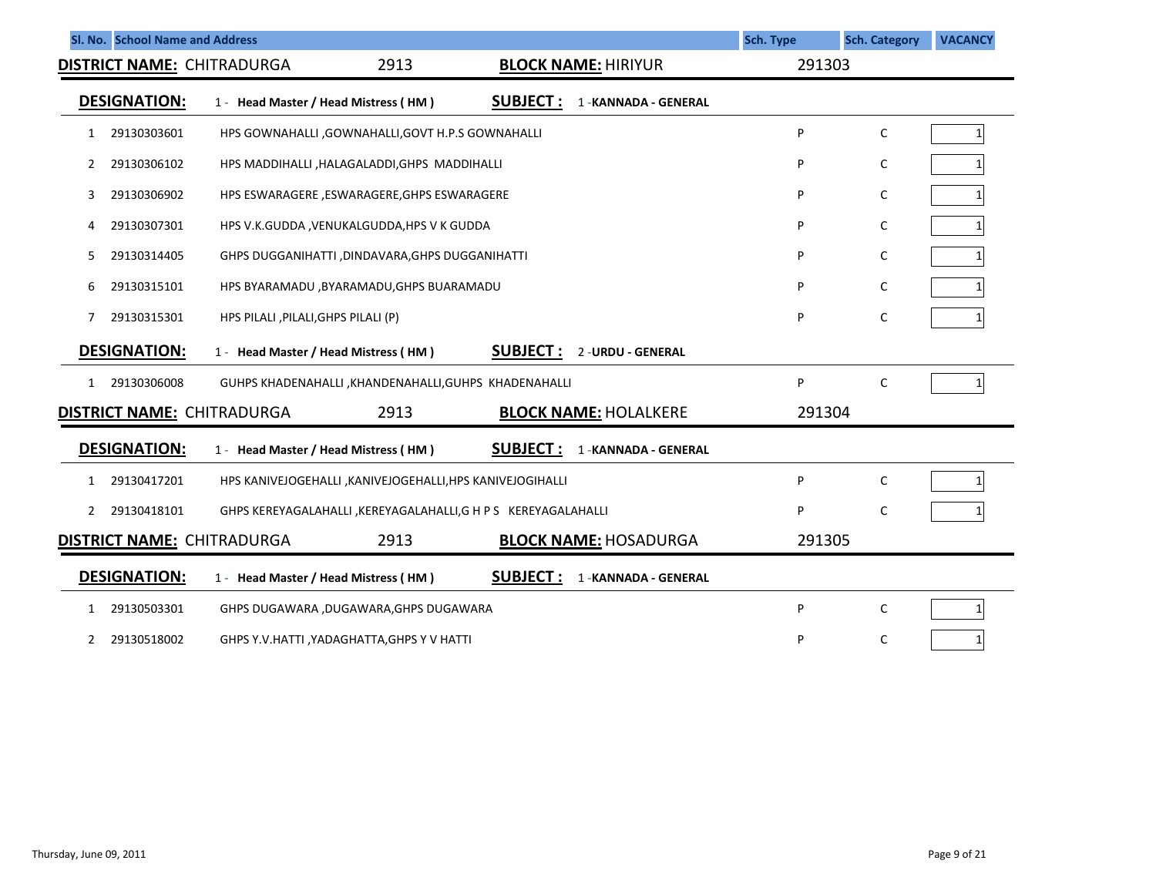| SI. No. School Name and Address   |                                                                 |                                           | <b>Sch. Type</b> | <b>Sch. Category</b> | <b>VACANCY</b> |  |
|-----------------------------------|-----------------------------------------------------------------|-------------------------------------------|------------------|----------------------|----------------|--|
| <b>DISTRICT NAME: CHITRADURGA</b> | 2913                                                            | <b>BLOCK NAME: HIRIYUR</b>                | 291303           |                      |                |  |
| <b>DESIGNATION:</b>               | 1 - Head Master / Head Mistress (HM)                            | <u>SUBJECT :</u><br>1 - KANNADA - GENERAL |                  |                      |                |  |
| 29130303601<br>$\mathbf{1}$       | HPS GOWNAHALLI , GOWNAHALLI, GOVT H.P.S GOWNAHALLI              |                                           | P                | $\mathsf C$          | 1              |  |
| 29130306102<br>2                  | HPS MADDIHALLI , HALAGALADDI, GHPS MADDIHALLI                   |                                           | P                | С                    |                |  |
| 29130306902<br>3                  | HPS ESWARAGERE ,ESWARAGERE, GHPS ESWARAGERE                     |                                           | P                | С                    |                |  |
| 29130307301<br>4                  | HPS V.K.GUDDA, VENUKALGUDDA, HPS V K GUDDA                      |                                           | P                | C                    |                |  |
| 29130314405<br>5.                 | GHPS DUGGANIHATTI, DINDAVARA, GHPS DUGGANIHATTI                 |                                           | Þ                | C                    |                |  |
| 29130315101<br>6                  |                                                                 | HPS BYARAMADU , BYARAMADU, GHPS BUARAMADU |                  |                      |                |  |
| 29130315301<br>7                  | HPS PILALI, PILALI, GHPS PILALI (P)                             |                                           | P                | С                    |                |  |
| <b>DESIGNATION:</b>               | 1 - Head Master / Head Mistress (HM)                            | <b>SUBJECT:</b><br>2 - URDU - GENERAL     |                  |                      |                |  |
| 29130306008<br>$\mathbf{1}$       | GUHPS KHADENAHALLI , KHANDENAHALLI, GUHPS KHADENAHALLI          |                                           | P                | $\mathsf C$          |                |  |
| <b>DISTRICT NAME: CHITRADURGA</b> | 2913                                                            | <b>BLOCK NAME: HOLALKERE</b>              | 291304           |                      |                |  |
| <b>DESIGNATION:</b>               | 1 - Head Master / Head Mistress (HM)                            | <b>SUBJECT:</b><br>1 - KANNADA - GENERAL  |                  |                      |                |  |
| 29130417201<br>1                  | HPS KANIVEJOGEHALLI , KANIVEJOGEHALLI, HPS KANIVEJOGIHALLI      |                                           | P                | C                    |                |  |
| 29130418101<br>2                  | GHPS KEREYAGALAHALLI , KEREYAGALAHALLI, G H P S KEREYAGALAHALLI |                                           | P                | C                    |                |  |
| <b>DISTRICT NAME: CHITRADURGA</b> | 2913                                                            | <b>BLOCK NAME: HOSADURGA</b>              | 291305           |                      |                |  |
| <b>DESIGNATION:</b>               | 1 - Head Master / Head Mistress (HM)                            | <b>SUBJECT:</b><br>1 - KANNADA - GENERAL  |                  |                      |                |  |
| 29130503301<br>$\mathbf{1}$       | GHPS DUGAWARA ,DUGAWARA,GHPS DUGAWARA                           |                                           | P                | C                    | $\mathbf{1}$   |  |
| 29130518002<br>2                  | GHPS Y.V.HATTI, YADAGHATTA, GHPS Y V HATTI                      |                                           | Þ                | C                    | 1              |  |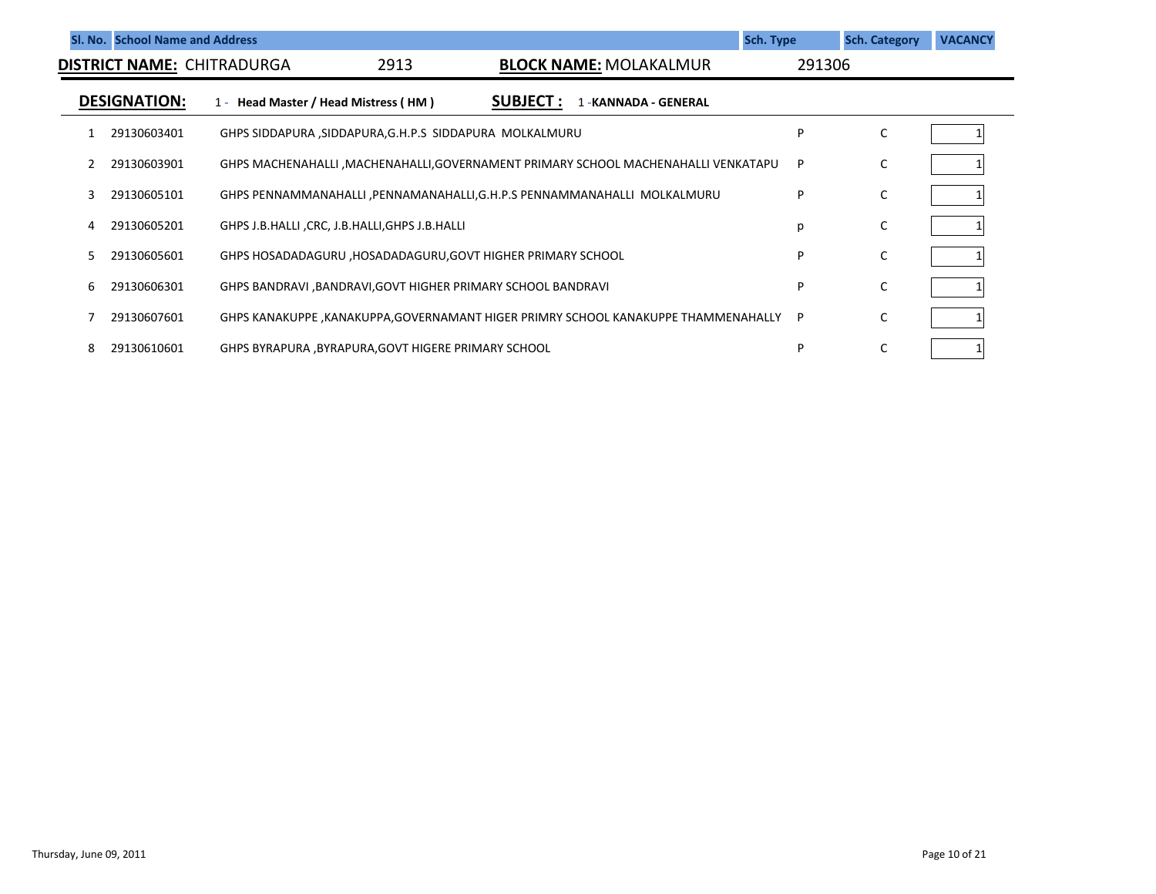|    | <b>SI. No. School Name and Address</b> |                                      |                                                         |                                                                                     | Sch. Type | <b>Sch. Category</b> | <b>VACANCY</b> |
|----|----------------------------------------|--------------------------------------|---------------------------------------------------------|-------------------------------------------------------------------------------------|-----------|----------------------|----------------|
|    |                                        | <b>DISTRICT NAME: CHITRADURGA</b>    | 2913                                                    | <b>BLOCK NAME: MOLAKALMUR</b>                                                       | 291306    |                      |                |
|    | <b>DESIGNATION:</b>                    | 1 - Head Master / Head Mistress (HM) |                                                         | <b>SUBJECT:</b><br>1 - KANNADA - GENERAL                                            |           |                      |                |
|    | 29130603401                            |                                      | GHPS SIDDAPURA, SIDDAPURA, G.H.P.S SIDDAPURA MOLKALMURU |                                                                                     | P         | C                    |                |
|    | 29130603901                            |                                      |                                                         | GHPS MACHENAHALLI , MACHENAHALLI, GOVERNAMENT PRIMARY SCHOOL MACHENAHALLI VENKATAPU | P         | C                    |                |
| 3  | 29130605101                            |                                      |                                                         | GHPS PENNAMMANAHALLI, PENNAMANAHALLI, G.H.P.S PENNAMMANAHALLI MOLKALMURU            | P         | C                    |                |
|    | 29130605201                            |                                      | GHPS J.B.HALLI, CRC, J.B.HALLI, GHPS J.B.HALLI          |                                                                                     | p         | C                    |                |
| 5. | 29130605601                            |                                      |                                                         | GHPS HOSADADAGURU ,HOSADADAGURU,GOVT HIGHER PRIMARY SCHOOL                          | P         | C                    |                |
|    | 29130606301                            |                                      |                                                         | GHPS BANDRAVI , BANDRAVI, GOVT HIGHER PRIMARY SCHOOL BANDRAVI                       | P         | C                    |                |
|    | 29130607601                            |                                      |                                                         | GHPS KANAKUPPE ,KANAKUPPA,GOVERNAMANT HIGER PRIMRY SCHOOL KANAKUPPE THAMMENAHALLY   | P.        | C                    |                |
|    | 29130610601                            |                                      | GHPS BYRAPURA, BYRAPURA, GOVT HIGERE PRIMARY SCHOOL     |                                                                                     | P         |                      |                |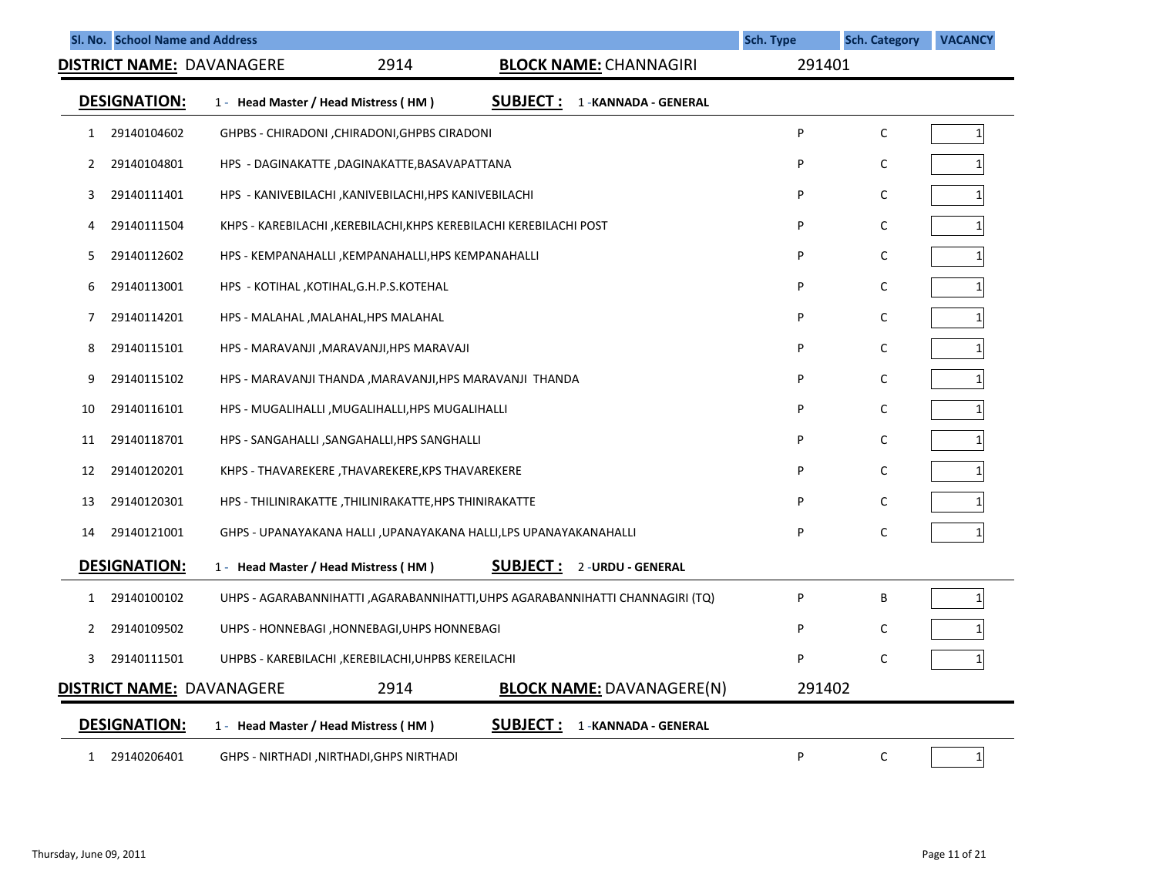|    | Sl. No. School Name and Address |                                                          |      |                                                                              | <b>Sch. Type</b> | <b>Sch. Category</b> | <b>VACANCY</b> |
|----|---------------------------------|----------------------------------------------------------|------|------------------------------------------------------------------------------|------------------|----------------------|----------------|
|    |                                 | <b>DISTRICT NAME: DAVANAGERE</b>                         | 2914 | <b>BLOCK NAME: CHANNAGIRI</b>                                                | 291401           |                      |                |
|    | <b>DESIGNATION:</b>             | 1 - Head Master / Head Mistress (HM)                     |      | <b>SUBJECT:</b><br>1-KANNADA - GENERAL                                       |                  |                      |                |
| 1  | 29140104602                     | GHPBS - CHIRADONI, CHIRADONI, GHPBS CIRADONI             |      |                                                                              | P                | C                    | $\mathbf{1}$   |
| 2  | 29140104801                     | HPS - DAGINAKATTE ,DAGINAKATTE,BASAVAPATTANA             |      |                                                                              | P                | C                    | 1              |
| 3  | 29140111401                     | HPS - KANIVEBILACHI , KANIVEBILACHI, HPS KANIVEBILACHI   |      |                                                                              | P                | $\mathsf C$          | 1              |
| 4  | 29140111504                     |                                                          |      | KHPS - KAREBILACHI , KEREBILACHI, KHPS KEREBILACHI KEREBILACHI POST          | P                | $\mathsf C$          | 1              |
| 5. | 29140112602                     | HPS - KEMPANAHALLI ,KEMPANAHALLI,HPS KEMPANAHALLI        |      |                                                                              | P                | $\mathsf C$          |                |
| 6  | 29140113001                     | HPS - KOTIHAL, KOTIHAL, G.H.P.S.KOTEHAL                  |      |                                                                              | P                | C                    | 1              |
| 7  | 29140114201                     | HPS - MALAHAL, MALAHAL, HPS MALAHAL                      |      |                                                                              | P                | C                    |                |
| 8  | 29140115101                     | HPS - MARAVANJI, MARAVANJI, HPS MARAVAJI                 |      |                                                                              | P                | $\mathsf C$          | 1              |
| 9  | 29140115102                     | HPS - MARAVANJI THANDA , MARAVANJI, HPS MARAVANJI THANDA |      |                                                                              | P                | C                    |                |
| 10 | 29140116101                     | HPS - MUGALIHALLI ,MUGALIHALLI,HPS MUGALIHALLI           |      |                                                                              | P                | C                    | 1              |
| 11 | 29140118701                     | HPS - SANGAHALLI , SANGAHALLI, HPS SANGHALLI             |      |                                                                              | P                | C                    | 1              |
| 12 | 29140120201                     | KHPS - THAVAREKERE ,THAVAREKERE,KPS THAVAREKERE          |      |                                                                              | P                | $\mathsf C$          | 1              |
| 13 | 29140120301                     | HPS - THILINIRAKATTE ,THILINIRAKATTE,HPS THINIRAKATTE    |      |                                                                              | P                | C                    | 1              |
| 14 | 29140121001                     |                                                          |      | GHPS - UPANAYAKANA HALLI ,UPANAYAKANA HALLI,LPS UPANAYAKANAHALLI             | P                | $\mathsf C$          | 1              |
|    | <b>DESIGNATION:</b>             | 1 - Head Master / Head Mistress (HM)                     |      | SUBJECT:<br>2 - URDU - GENERAL                                               |                  |                      |                |
| 1  | 29140100102                     |                                                          |      | UHPS - AGARABANNIHATTI, AGARABANNIHATTI,UHPS AGARABANNIHATTI CHANNAGIRI (TQ) | P                | B                    | $\mathbf{1}$   |
| 2  | 29140109502                     | UHPS - HONNEBAGI , HONNEBAGI, UHPS HONNEBAGI             |      |                                                                              | P                | C                    |                |
| 3  | 29140111501                     | UHPBS - KAREBILACHI , KEREBILACHI, UHPBS KEREILACHI      |      |                                                                              | P                | C                    | 1              |
|    |                                 | <b>DISTRICT NAME: DAVANAGERE</b>                         | 2914 | <b>BLOCK NAME: DAVANAGERE(N)</b>                                             | 291402           |                      |                |
|    | <b>DESIGNATION:</b>             | 1 - Head Master / Head Mistress (HM)                     |      | <b>SUBJECT:</b><br>1-KANNADA - GENERAL                                       |                  |                      |                |
| 1  | 29140206401                     | GHPS - NIRTHADI ,NIRTHADI,GHPS NIRTHADI                  |      |                                                                              | P                | C                    | $\mathbf{1}$   |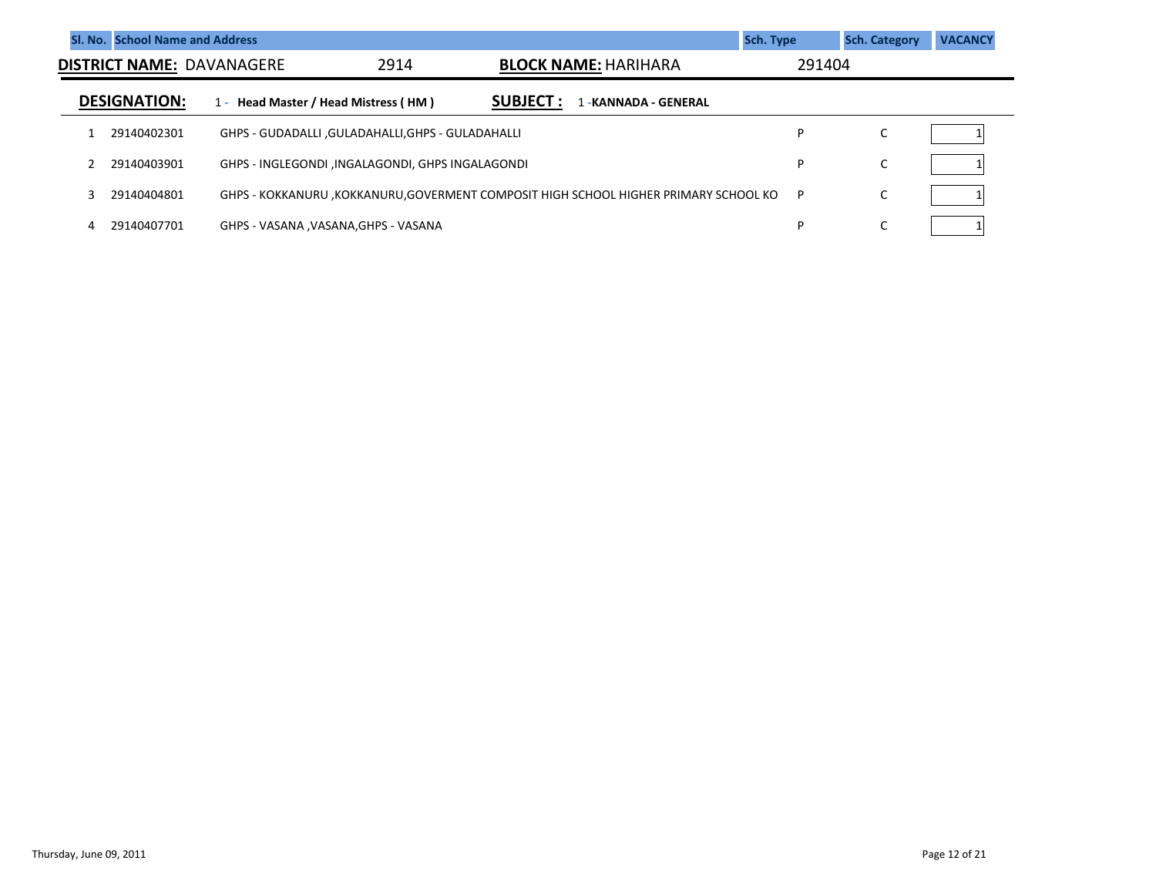|   | SI. No. School Name and Address |                                  |                                                    |                                                                                     | <b>Sch. Type</b> | <b>Sch. Category</b> | <b>VACANCY</b> |
|---|---------------------------------|----------------------------------|----------------------------------------------------|-------------------------------------------------------------------------------------|------------------|----------------------|----------------|
|   |                                 | <b>DISTRICT NAME: DAVANAGERE</b> | 2914                                               | <b>BLOCK NAME: HARIHARA</b>                                                         | 291404           |                      |                |
|   | <b>DESIGNATION:</b>             | $1 -$                            | Head Master / Head Mistress (HM)                   | <b>SUBJECT :</b><br>-KANNADA - GENERAL                                              |                  |                      |                |
|   | 29140402301                     |                                  | GHPS - GUDADALLI , GULADAHALLI, GHPS - GULADAHALLI |                                                                                     | D                | С                    |                |
|   | 29140403901                     |                                  | GHPS - INGLEGONDI , INGALAGONDI, GHPS INGALAGONDI  |                                                                                     | D                | $\overline{ }$<br>◡  |                |
| κ | 29140404801                     |                                  |                                                    | GHPS - KOKKANURU ,KOKKANURU,GOVERMENT COMPOSIT HIGH SCHOOL HIGHER PRIMARY SCHOOL KO | P                | C                    |                |
| 4 | 29140407701                     |                                  | GHPS - VASANA , VASANA, GHPS - VASANA              |                                                                                     | D                | ◡                    |                |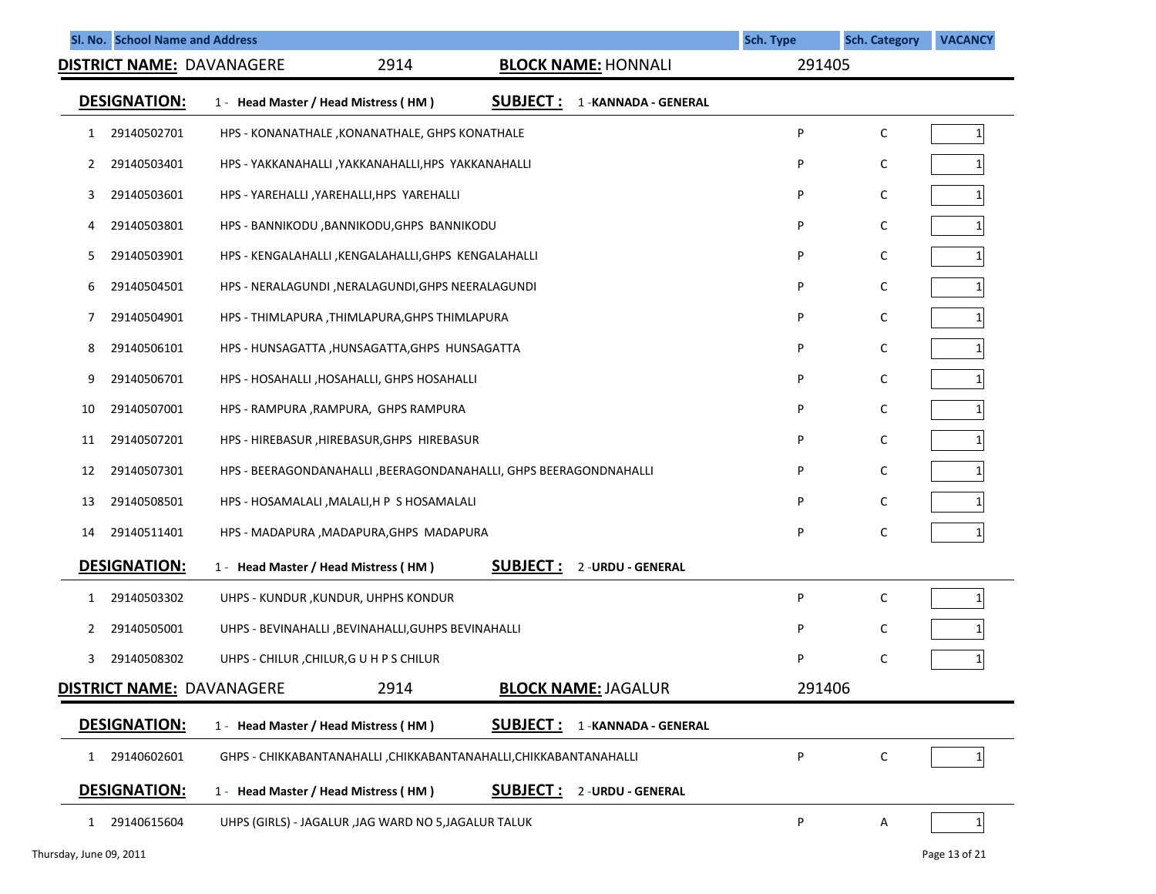| Sl. No. School Name and Address  |                                                                                  | Sch. Type | <b>Sch. Category</b> | <b>VACANCY</b> |
|----------------------------------|----------------------------------------------------------------------------------|-----------|----------------------|----------------|
| <b>DISTRICT NAME: DAVANAGERE</b> | 2914<br><b>BLOCK NAME: HONNALI</b>                                               | 291405    |                      |                |
| <b>DESIGNATION:</b>              | <b>SUBJECT:</b><br>1 - Head Master / Head Mistress (HM)<br>1 - KANNADA - GENERAL |           |                      |                |
| 29140502701<br>1                 | HPS - KONANATHALE , KONANATHALE, GHPS KONATHALE                                  | P         | C                    |                |
| 2<br>29140503401                 | HPS - YAKKANAHALLI , YAKKANAHALLI, HPS YAKKANAHALLI                              | P         | C                    |                |
| 29140503601<br>3                 | HPS - YAREHALLI , YAREHALLI, HPS YAREHALLI                                       | P         | C                    |                |
| 29140503801<br>4                 | HPS - BANNIKODU , BANNIKODU, GHPS BANNIKODU                                      | P         | С                    |                |
| 29140503901<br>5                 | HPS - KENGALAHALLI , KENGALAHALLI, GHPS KENGALAHALLI                             | P         | C                    |                |
| 29140504501<br>6                 | HPS - NERALAGUNDI , NERALAGUNDI, GHPS NEERALAGUNDI                               | P         | С                    |                |
| 29140504901<br>7                 | HPS - THIMLAPURA, THIMLAPURA, GHPS THIMLAPURA                                    | P         | C                    |                |
| 8<br>29140506101                 | HPS - HUNSAGATTA, HUNSAGATTA, GHPS HUNSAGATTA                                    | P         | С                    |                |
| 9<br>29140506701                 | HPS - HOSAHALLI, HOSAHALLI, GHPS HOSAHALLI                                       | P         | C                    |                |
| 10<br>29140507001                | HPS - RAMPURA , RAMPURA, GHPS RAMPURA                                            | P         | C                    |                |
| 29140507201<br>11                | HPS - HIREBASUR, HIREBASUR, GHPS HIREBASUR                                       | P         | C                    |                |
| 12<br>29140507301                | HPS - BEERAGONDANAHALLI, BEERAGONDANAHALLI, GHPS BEERAGONDNAHALLI                | P         | C                    |                |
| 13<br>29140508501                | HPS - HOSAMALALI , MALALI, H P S HOSAMALALI                                      | P         | C                    |                |
| 29140511401<br>14                | HPS - MADAPURA , MADAPURA, GHPS MADAPURA                                         | P         | C                    |                |
| <b>DESIGNATION:</b>              | <b>SUBJECT:</b><br>2 - URDU - GENERAL<br>1 - Head Master / Head Mistress (HM)    |           |                      |                |
| 29140503302<br>1                 | UHPS - KUNDUR, KUNDUR, UHPHS KONDUR                                              | P         | C                    |                |
| 29140505001<br>2                 | UHPS - BEVINAHALLI , BEVINAHALLI, GUHPS BEVINAHALLI                              | P         | C                    |                |
| 3<br>29140508302                 | UHPS - CHILUR, CHILUR, GUHPS CHILUR                                              | P         | C                    |                |
| <b>DISTRICT NAME: DAVANAGERE</b> | 2914<br><b>BLOCK NAME: JAGALUR</b>                                               | 291406    |                      |                |
| <b>DESIGNATION:</b>              | <b>SUBJECT:</b><br>1 - Head Master / Head Mistress (HM)<br>1-KANNADA - GENERAL   |           |                      |                |
| 29140602601<br>1                 | GHPS - CHIKKABANTANAHALLI , CHIKKABANTANAHALLI, CHIKKABANTANAHALLI               | P         | C                    | 1              |
| <b>DESIGNATION:</b>              | <u>SUBJECT :</u><br>1 - Head Master / Head Mistress (HM)<br>2 - URDU - GENERAL   |           |                      |                |
| 29140615604<br>$\mathbf{1}$      | UHPS (GIRLS) - JAGALUR , JAG WARD NO 5, JAGALUR TALUK                            | P         | Α                    | 1              |
| Thursday, June 09, 2011          |                                                                                  |           |                      | Page 13 of 21  |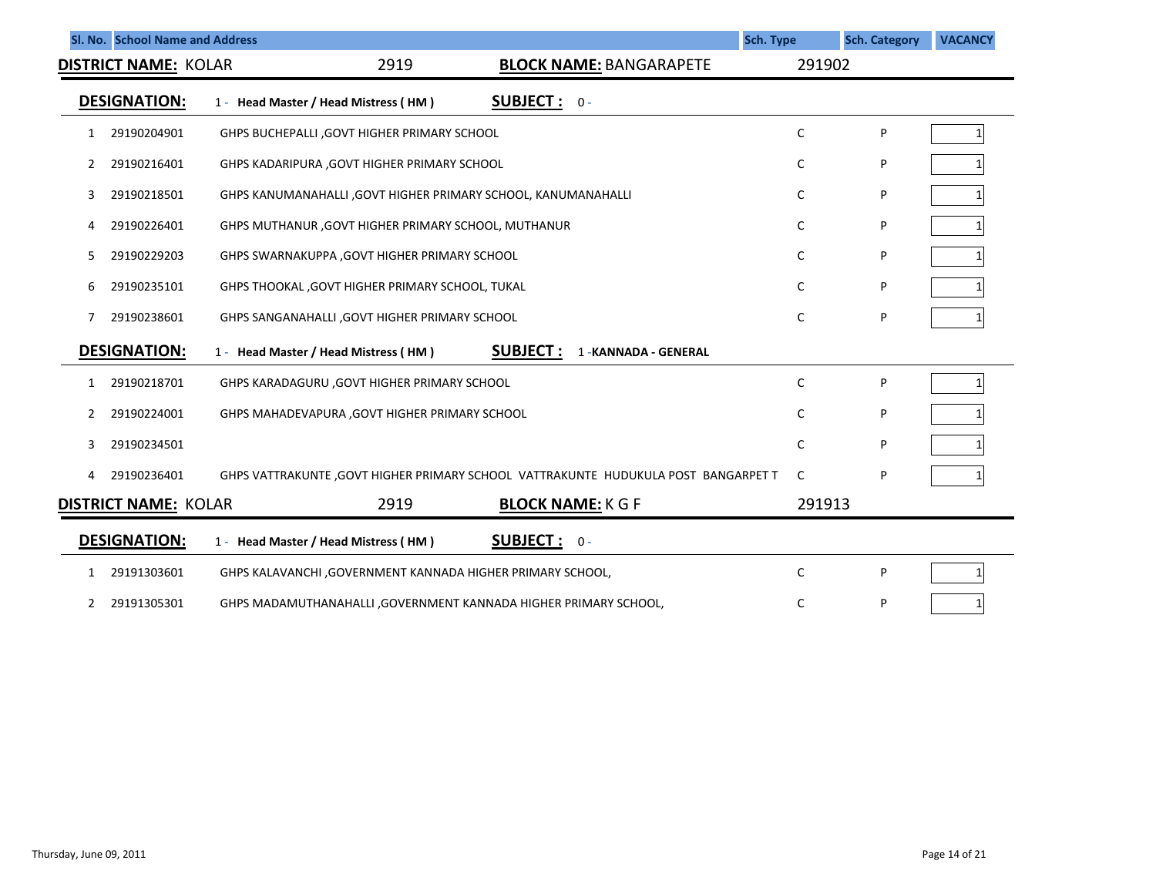|              | SI. No. School Name and Address                                       |                                                               |                                                                                     | Sch. Type | <b>Sch. Category</b> | <b>VACANCY</b> |
|--------------|-----------------------------------------------------------------------|---------------------------------------------------------------|-------------------------------------------------------------------------------------|-----------|----------------------|----------------|
|              | 2919<br><b>DISTRICT NAME: KOLAR</b><br><b>BLOCK NAME: BANGARAPETE</b> |                                                               |                                                                                     | 291902    |                      |                |
|              | <b>DESIGNATION:</b>                                                   | 1 - Head Master / Head Mistress (HM)                          | <b>SUBJECT:</b> $0 -$                                                               |           |                      |                |
| 1            | 29190204901                                                           | GHPS BUCHEPALLI, GOVT HIGHER PRIMARY SCHOOL                   |                                                                                     | C         | P                    | 1              |
| 2            | 29190216401                                                           | GHPS KADARIPURA , GOVT HIGHER PRIMARY SCHOOL                  |                                                                                     | C         | P                    |                |
| 3            | 29190218501                                                           | GHPS KANUMANAHALLI, GOVT HIGHER PRIMARY SCHOOL, KANUMANAHALLI |                                                                                     | С         | P                    |                |
| 4            | 29190226401                                                           | GHPS MUTHANUR, GOVT HIGHER PRIMARY SCHOOL, MUTHANUR           |                                                                                     | C         | P                    |                |
| 5            | 29190229203                                                           | GHPS SWARNAKUPPA , GOVT HIGHER PRIMARY SCHOOL                 |                                                                                     | C         | P                    |                |
| 6            | 29190235101                                                           | GHPS THOOKAL, GOVT HIGHER PRIMARY SCHOOL, TUKAL               |                                                                                     | C         | P                    |                |
| 7            | 29190238601                                                           | GHPS SANGANAHALLI, GOVT HIGHER PRIMARY SCHOOL                 |                                                                                     | C         | P                    |                |
|              | <b>DESIGNATION:</b>                                                   | 1 - Head Master / Head Mistress (HM)                          | <b>SUBJECT :</b><br>1 - KANNADA - GENERAL                                           |           |                      |                |
| 1            | 29190218701                                                           | GHPS KARADAGURU, GOVT HIGHER PRIMARY SCHOOL                   |                                                                                     | C         | P                    | 1              |
| 2            | 29190224001                                                           | GHPS MAHADEVAPURA , GOVT HIGHER PRIMARY SCHOOL                |                                                                                     | C         | P                    |                |
| 3            | 29190234501                                                           |                                                               |                                                                                     | C         | P                    |                |
| 4            | 29190236401                                                           |                                                               | GHPS VATTRAKUNTE , GOVT HIGHER PRIMARY SCHOOL VATTRAKUNTE HUDUKULA POST BANGARPET T | C         | P                    |                |
|              | <b>DISTRICT NAME: KOLAR</b>                                           | 2919                                                          | <b>BLOCK NAME: K G F</b>                                                            | 291913    |                      |                |
|              | <b>DESIGNATION:</b>                                                   | 1 - Head Master / Head Mistress (HM)                          | SUBJECT: 0-                                                                         |           |                      |                |
| 1            | 29191303601                                                           | GHPS KALAVANCHI, GOVERNMENT KANNADA HIGHER PRIMARY SCHOOL,    |                                                                                     | C         | P                    | 1              |
| $\mathbf{2}$ | 29191305301                                                           |                                                               | GHPS MADAMUTHANAHALLI, GOVERNMENT KANNADA HIGHER PRIMARY SCHOOL,                    | C         | P                    |                |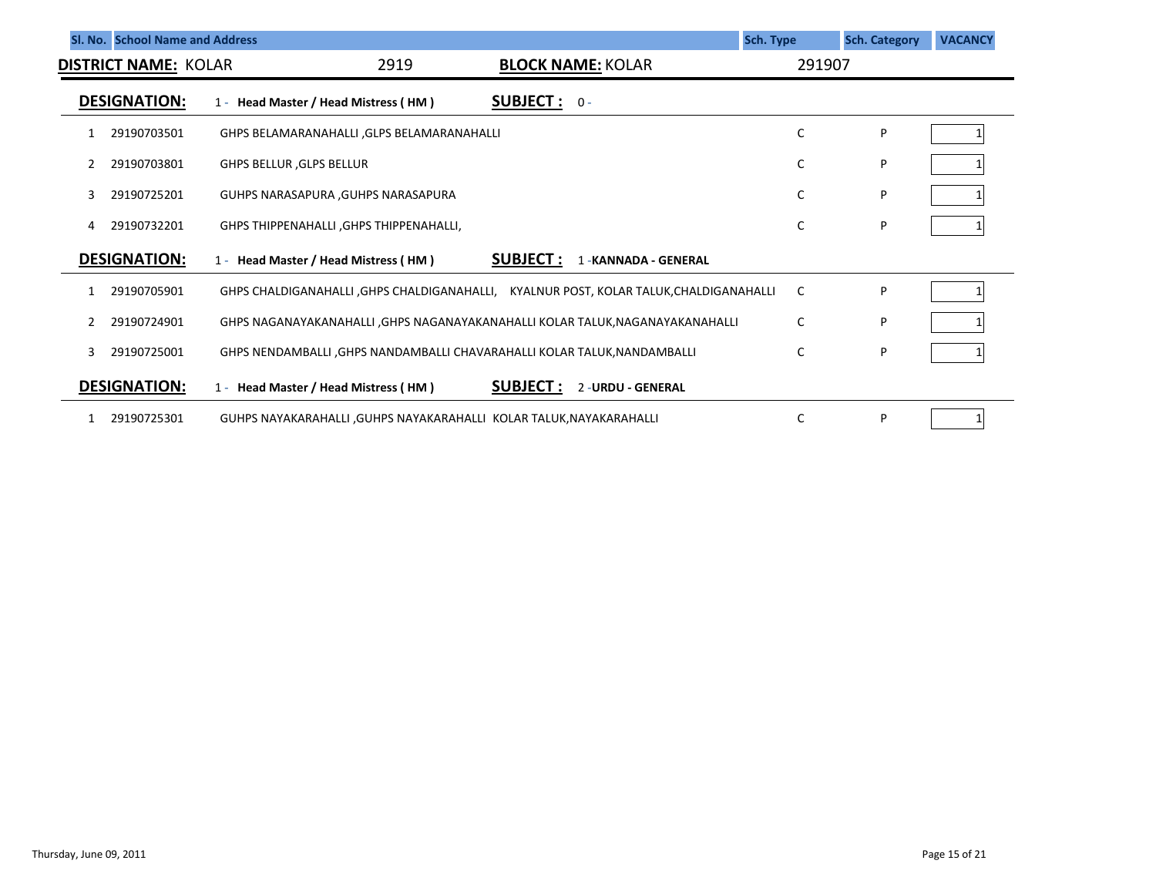|   | SI. No. School Name and Address |                                                                                       |                                          | <b>Sch. Type</b> | <b>Sch. Category</b> | <b>VACANCY</b> |
|---|---------------------------------|---------------------------------------------------------------------------------------|------------------------------------------|------------------|----------------------|----------------|
|   | <b>DISTRICT NAME: KOLAR</b>     | 2919                                                                                  | <b>BLOCK NAME: KOLAR</b>                 | 291907           |                      |                |
|   | <b>DESIGNATION:</b>             | 1 - Head Master / Head Mistress (HM)                                                  | <b>SUBJECT:</b> $0 -$                    |                  |                      |                |
|   | 29190703501                     | GHPS BELAMARANAHALLI , GLPS BELAMARANAHALLI                                           |                                          | C                | P                    |                |
|   | 29190703801                     | <b>GHPS BELLUR, GLPS BELLUR</b>                                                       |                                          | C                | P                    |                |
| 3 | 29190725201                     | GUHPS NARASAPURA , GUHPS NARASAPURA                                                   |                                          | C                | P                    |                |
| 4 | 29190732201                     | GHPS THIPPENAHALLI, GHPS THIPPENAHALLI,                                               |                                          | C                | P                    |                |
|   | <b>DESIGNATION:</b>             | 1 - Head Master / Head Mistress (HM)                                                  | <b>SUBJECT:</b><br>1 - KANNADA - GENERAL |                  |                      |                |
|   | 29190705901                     | GHPS CHALDIGANAHALLI ,GHPS CHALDIGANAHALLI, KYALNUR POST, KOLAR TALUK,CHALDIGANAHALLI |                                          | C                | P                    |                |
|   | 29190724901                     | GHPS NAGANAYAKANAHALLI , GHPS NAGANAYAKANAHALLI KOLAR TALUK, NAGANAYAKANAHALLI        |                                          | C                | P                    |                |
| 3 | 29190725001                     | GHPS NENDAMBALLI , GHPS NANDAMBALLI CHAVARAHALLI KOLAR TALUK, NANDAMBALLI             |                                          | C                | P                    |                |
|   | <b>DESIGNATION:</b>             | 1 - Head Master / Head Mistress (HM)                                                  | <b>SUBJECT:</b><br>2-URDU - GENERAL      |                  |                      |                |
|   | 29190725301                     | GUHPS NAYAKARAHALLI , GUHPS NAYAKARAHALLI KOLAR TALUK, NAYAKARAHALLI                  |                                          | C                | P                    |                |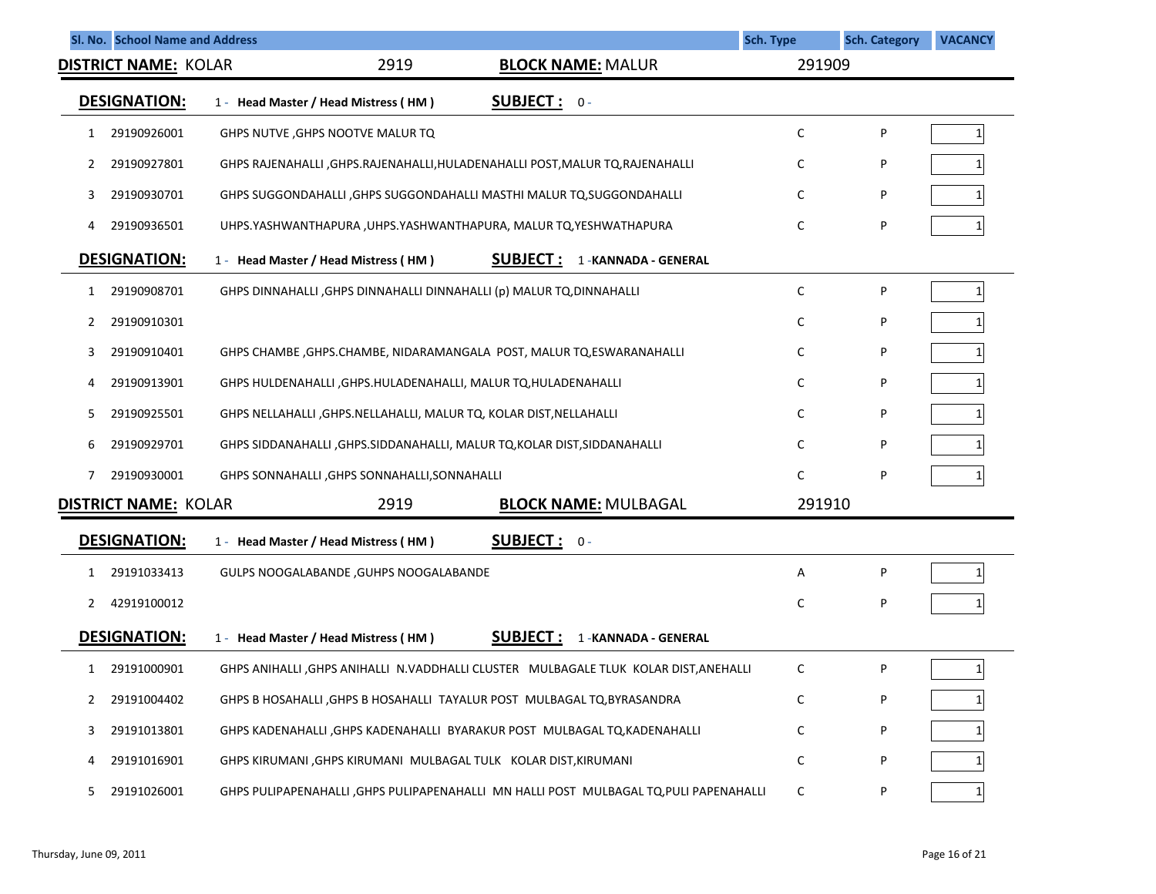|              | SI. No. School Name and Address | <b>Sch. Type</b>                                                                        |        | <b>Sch. Category</b> | <b>VACANCY</b> |
|--------------|---------------------------------|-----------------------------------------------------------------------------------------|--------|----------------------|----------------|
|              | <b>DISTRICT NAME: KOLAR</b>     | 2919<br><b>BLOCK NAME: MALUR</b>                                                        | 291909 |                      |                |
|              | <b>DESIGNATION:</b>             | <b>SUBJECT: 0-</b><br>1 - Head Master / Head Mistress (HM)                              |        |                      |                |
| 1            | 29190926001                     | GHPS NUTVE , GHPS NOOTVE MALUR TQ                                                       | C      | P                    | 1              |
| 2            | 29190927801                     | GHPS RAJENAHALLI ,GHPS.RAJENAHALLI,HULADENAHALLI POST,MALUR TQ,RAJENAHALLI              | C      | P                    |                |
| 3            | 29190930701                     | GHPS SUGGONDAHALLI , GHPS SUGGONDAHALLI MASTHI MALUR TQ, SUGGONDAHALLI                  | C      | P                    |                |
| 4            | 29190936501                     | UHPS.YASHWANTHAPURA, UHPS.YASHWANTHAPURA, MALUR TQ, YESHWATHAPURA                       | C      | P                    |                |
|              | <b>DESIGNATION:</b>             | <b>SUBJECT:</b><br>1 - Head Master / Head Mistress (HM)<br>1 - KANNADA - GENERAL        |        |                      |                |
| 1            | 29190908701                     | GHPS DINNAHALLI , GHPS DINNAHALLI DINNAHALLI (p) MALUR TQ, DINNAHALLI                   | C      | P                    | 1              |
| 2            | 29190910301                     |                                                                                         | C      | P                    |                |
| 3            | 29190910401                     | GHPS CHAMBE , GHPS.CHAMBE, NIDARAMANGALA POST, MALUR TQ, ESWARANAHALLI                  | C      | P                    |                |
| 4            | 29190913901                     | GHPS HULDENAHALLI, GHPS.HULADENAHALLI, MALUR TQ, HULADENAHALLI                          | C      | P                    |                |
| 5            | 29190925501                     | GHPS NELLAHALLI, GHPS.NELLAHALLI, MALUR TQ, KOLAR DIST, NELLAHALLI                      | C      | P                    |                |
| 6            | 29190929701                     | GHPS SIDDANAHALLI , GHPS.SIDDANAHALLI, MALUR TQ, KOLAR DIST, SIDDANAHALLI               | C      | P                    |                |
| 7            | 29190930001                     | GHPS SONNAHALLI , GHPS SONNAHALLI, SONNAHALLI                                           | C      | P                    |                |
|              | <b>DISTRICT NAME: KOLAR</b>     | 2919<br><b>BLOCK NAME: MULBAGAL</b>                                                     | 291910 |                      |                |
|              | <b>DESIGNATION:</b>             | <b>SUBJECT: 0-</b><br>1 - Head Master / Head Mistress (HM)                              |        |                      |                |
| 1            | 29191033413                     | GULPS NOOGALABANDE, GUHPS NOOGALABANDE                                                  | Α      | P                    | 1              |
| 2            | 42919100012                     |                                                                                         | C      | P                    |                |
|              | <b>DESIGNATION:</b>             | <b>SUBJECT:</b><br>1 - Head Master / Head Mistress (HM)<br>1 - KANNADA - GENERAL        |        |                      |                |
| $\mathbf{1}$ | 29191000901                     | GHPS ANIHALLI , GHPS ANIHALLI N.VADDHALLI CLUSTER MULBAGALE TLUK KOLAR DIST, ANEHALLI   | C      | P                    | $\mathbf{1}$   |
| 2            | 29191004402                     | GHPS B HOSAHALLI , GHPS B HOSAHALLI TAYALUR POST MULBAGAL TQ, BYRASANDRA                | с      | P                    |                |
| 3            | 29191013801                     | GHPS KADENAHALLI , GHPS KADENAHALLI BYARAKUR POST MULBAGAL TQ, KADENAHALLI              | с      | P                    |                |
| 4            | 29191016901                     | GHPS KIRUMANI , GHPS KIRUMANI MULBAGAL TULK KOLAR DIST, KIRUMANI                        | C      | P                    |                |
| 5            | 29191026001                     | GHPS PULIPAPENAHALLI , GHPS PULIPAPENAHALLI MN HALLI POST MULBAGAL TQ, PULI PAPENAHALLI | C      | P                    |                |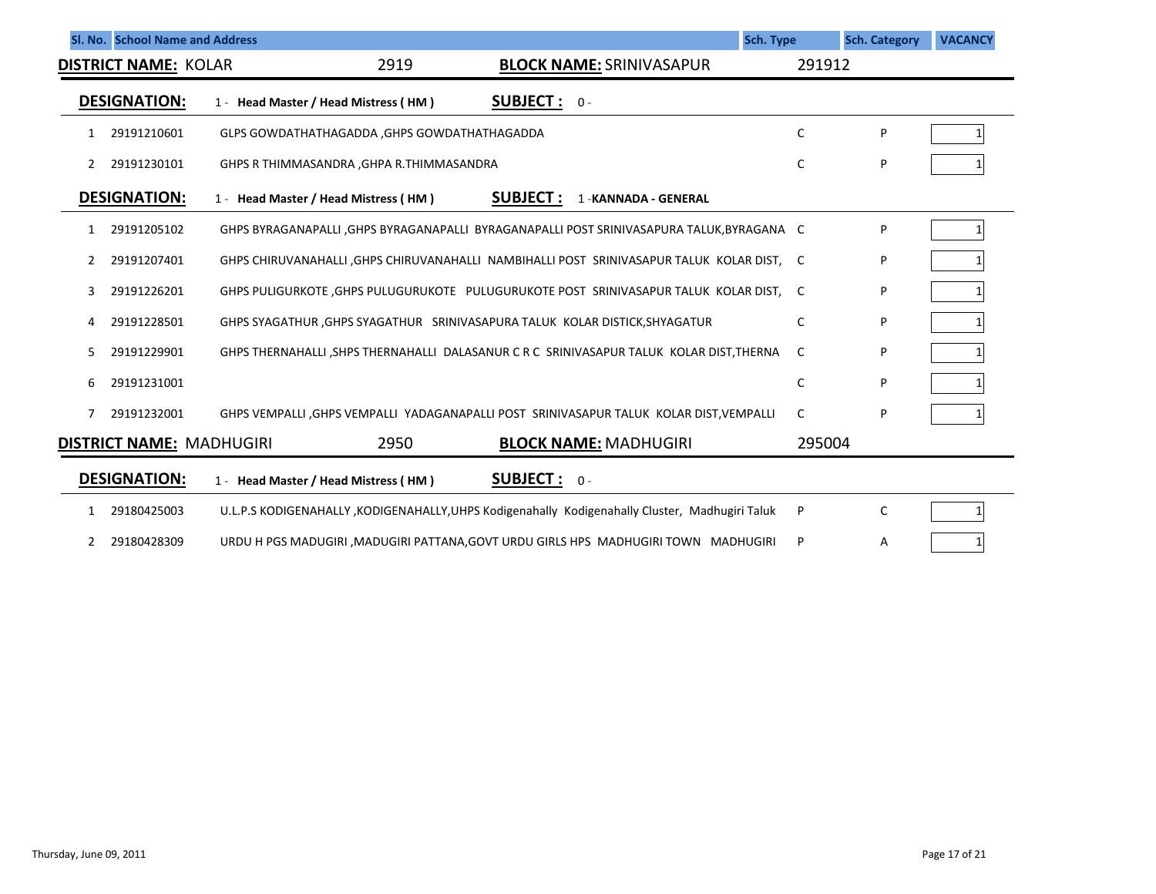|    | SI. No. School Name and Address |                                                                                |                                                                                                  | <b>Sch. Type</b> | <b>Sch. Category</b> | <b>VACANCY</b> |
|----|---------------------------------|--------------------------------------------------------------------------------|--------------------------------------------------------------------------------------------------|------------------|----------------------|----------------|
|    | <b>DISTRICT NAME: KOLAR</b>     | 2919                                                                           | <b>BLOCK NAME: SRINIVASAPUR</b>                                                                  | 291912           |                      |                |
|    | <b>DESIGNATION:</b>             | 1 - Head Master / Head Mistress (HM)                                           | <b>SUBJECT:</b> $0 -$                                                                            |                  |                      |                |
| 1  | 29191210601                     | GLPS GOWDATHATHAGADDA, GHPS GOWDATHATHAGADDA                                   |                                                                                                  | C                | P                    |                |
| 2  | 29191230101                     | GHPS R THIMMASANDRA, GHPA R.THIMMASANDRA                                       |                                                                                                  | C                | P                    |                |
|    | <b>DESIGNATION:</b>             | 1 - Head Master / Head Mistress (HM)                                           | <b>SUBJECT:</b><br>1 - KANNADA - GENERAL                                                         |                  |                      |                |
| 1  | 29191205102                     |                                                                                | GHPS BYRAGANAPALLI , GHPS BYRAGANAPALLI BYRAGANAPALLI POST SRINIVASAPURA TALUK, BYRAGANA C       |                  | P                    |                |
| 2  | 29191207401                     |                                                                                | GHPS CHIRUVANAHALLI, GHPS CHIRUVANAHALLI NAMBIHALLI POST SRINIVASAPUR TALUK KOLAR DIST, C        |                  | P                    |                |
| 3  | 29191226201                     |                                                                                | GHPS PULIGURKOTE , GHPS PULUGURUKOTE PULUGURUKOTE POST SRINIVASAPUR TALUK KOLAR DIST, C          |                  | P                    |                |
| 4  | 29191228501                     | GHPS SYAGATHUR , GHPS SYAGATHUR  SRINIVASAPURA TALUK  KOLAR DISTICK, SHYAGATUR |                                                                                                  | C                | P                    |                |
| 5. | 29191229901                     |                                                                                | GHPS THERNAHALLI, SHPS THERNAHALLI DALASANUR C R C SRINIVASAPUR TALUK KOLAR DIST, THERNA         | C                | P                    |                |
| 6  | 29191231001                     |                                                                                |                                                                                                  | C                | P                    |                |
|    | 29191232001                     |                                                                                | GHPS VEMPALLI , GHPS VEMPALLI YADAGANAPALLI POST SRINIVASAPUR TALUK KOLAR DIST, VEMPALLI         | C                | P                    |                |
|    | <b>DISTRICT NAME: MADHUGIRI</b> | 2950                                                                           | <b>BLOCK NAME: MADHUGIRI</b>                                                                     | 295004           |                      |                |
|    | <b>DESIGNATION:</b>             | 1 - Head Master / Head Mistress (HM)                                           | <b>SUBJECT:</b> $0 -$                                                                            |                  |                      |                |
| 1  | 29180425003                     |                                                                                | U.L.P.S KODIGENAHALLY , KODIGENAHALLY, UHPS Kodigenahally Kodigenahally Cluster, Madhugiri Taluk | P                | C                    |                |
| 2  | 29180428309                     |                                                                                | URDU H PGS MADUGIRI , MADUGIRI PATTANA, GOVT URDU GIRLS HPS MADHUGIRI TOWN MADHUGIRI             | P                | Α                    |                |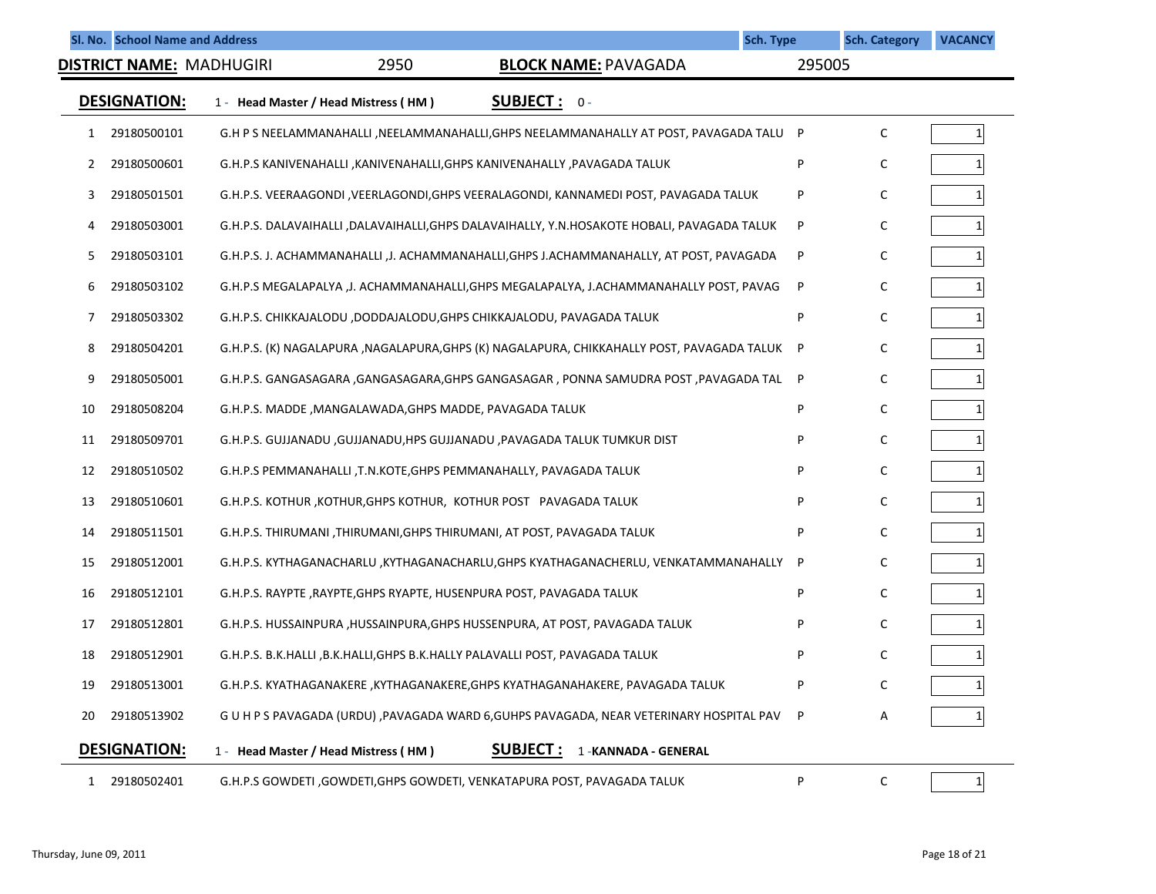|    |                     | Sl. No. School Name and Address |                                                         |                                                                                            | Sch. Type |        | <b>Sch. Category</b> | <b>VACANCY</b> |
|----|---------------------|---------------------------------|---------------------------------------------------------|--------------------------------------------------------------------------------------------|-----------|--------|----------------------|----------------|
|    |                     | DISTRICT NAME: MADHUGIRI        | 2950                                                    | <b>BLOCK NAME: PAVAGADA</b>                                                                |           | 295005 |                      |                |
|    | <b>DESIGNATION:</b> |                                 | 1 - Head Master / Head Mistress (HM)                    | <b>SUBJECT: 0-</b>                                                                         |           |        |                      |                |
| 1  | 29180500101         |                                 |                                                         | G.H P S NEELAMMANAHALLI , NEELAMMANAHALLI, GHPS NEELAMMANAHALLY AT POST, PAVAGADA TALU P   |           |        | C                    | 1              |
| 2  | 29180500601         |                                 |                                                         | G.H.P.S KANIVENAHALLI , KANIVENAHALLI, GHPS KANIVENAHALLY , PAVAGADA TALUK                 |           | P      | C                    |                |
| 3  | 29180501501         |                                 |                                                         | G.H.P.S. VEERAAGONDI , VEERLAGONDI, GHPS VEERALAGONDI, KANNAMEDI POST, PAVAGADA TALUK      |           | P      | C                    |                |
| 4  | 29180503001         |                                 |                                                         | G.H.P.S. DALAVAIHALLI ,DALAVAIHALLI,GHPS DALAVAIHALLY, Y.N.HOSAKOTE HOBALI, PAVAGADA TALUK |           | P      | C                    |                |
| 5  | 29180503101         |                                 |                                                         | G.H.P.S. J. ACHAMMANAHALLI , J. ACHAMMANAHALLI, GHPS J.ACHAMMANAHALLY, AT POST, PAVAGADA   |           | P      | C                    |                |
| 6  | 29180503102         |                                 |                                                         | G.H.P.S MEGALAPALYA ,J. ACHAMMANAHALLI, GHPS MEGALAPALYA, J. ACHAMMANAHALLY POST, PAVAG    |           | P      | C                    |                |
| 7  | 29180503302         |                                 |                                                         | G.H.P.S. CHIKKAJALODU ,DODDAJALODU,GHPS CHIKKAJALODU, PAVAGADA TALUK                       |           | P      | C                    |                |
| 8  | 29180504201         |                                 |                                                         | G.H.P.S. (K) NAGALAPURA ,NAGALAPURA,GHPS (K) NAGALAPURA, CHIKKAHALLY POST, PAVAGADA TALUK  |           | P      | C                    |                |
| 9  | 29180505001         |                                 |                                                         | G.H.P.S. GANGASAGARA ,GANGASAGARA,GHPS GANGASAGAR , PONNA SAMUDRA POST ,PAVAGADA TAL       |           | P      | C                    |                |
| 10 | 29180508204         |                                 | G.H.P.S. MADDE, MANGALAWADA, GHPS MADDE, PAVAGADA TALUK |                                                                                            |           | P      | C                    |                |
| 11 | 29180509701         |                                 |                                                         | G.H.P.S. GUJJANADU, GUJJANADU, HPS GUJJANADU, PAVAGADA TALUK TUMKUR DIST                   |           | P      | C                    |                |
| 12 | 29180510502         |                                 |                                                         | G.H.P.S PEMMANAHALLI ,T.N.KOTE,GHPS PEMMANAHALLY, PAVAGADA TALUK                           |           | P      | C                    |                |
| 13 | 29180510601         |                                 |                                                         | G.H.P.S. KOTHUR, KOTHUR, GHPS KOTHUR, KOTHUR POST PAVAGADA TALUK                           |           | P      | C                    |                |
| 14 | 29180511501         |                                 |                                                         | G.H.P.S. THIRUMANI ,THIRUMANI,GHPS THIRUMANI, AT POST, PAVAGADA TALUK                      |           | P      | C                    |                |
| 15 | 29180512001         |                                 |                                                         | G.H.P.S. KYTHAGANACHARLU ,KYTHAGANACHARLU,GHPS KYATHAGANACHERLU, VENKATAMMANAHALLY         |           | P      | C                    |                |
| 16 | 29180512101         |                                 |                                                         | G.H.P.S. RAYPTE , RAYPTE, GHPS RYAPTE, HUSENPURA POST, PAVAGADA TALUK                      |           | P      | C                    |                |
| 17 | 29180512801         |                                 |                                                         | G.H.P.S. HUSSAINPURA, HUSSAINPURA, GHPS HUSSENPURA, AT POST, PAVAGADA TALUK                |           | P      | C                    |                |
| 18 | 29180512901         |                                 |                                                         | G.H.P.S. B.K.HALLI , B.K.HALLI, GHPS B.K.HALLY PALAVALLI POST, PAVAGADA TALUK              |           |        | C                    |                |
| 19 | 29180513001         |                                 |                                                         | G.H.P.S. KYATHAGANAKERE , KYTHAGANAKERE, GHPS KYATHAGANAHAKERE, PAVAGADA TALUK             |           | P      | C                    | $\mathbf{1}$   |
| 20 | 29180513902         |                                 |                                                         | G U H P S PAVAGADA (URDU) , PAVAGADA WARD 6, GUHPS PAVAGADA, NEAR VETERINARY HOSPITAL PAV  |           | P      | Α                    |                |
|    | <b>DESIGNATION:</b> |                                 | 1 - Head Master / Head Mistress (HM)                    | <b>SUBJECT:</b><br>1-KANNADA - GENERAL                                                     |           |        |                      |                |
|    | 1 29180502401       |                                 |                                                         | G.H.P.S GOWDETI , GOWDETI, GHPS GOWDETI, VENKATAPURA POST, PAVAGADA TALUK                  |           | P      | С                    | $1\vert$       |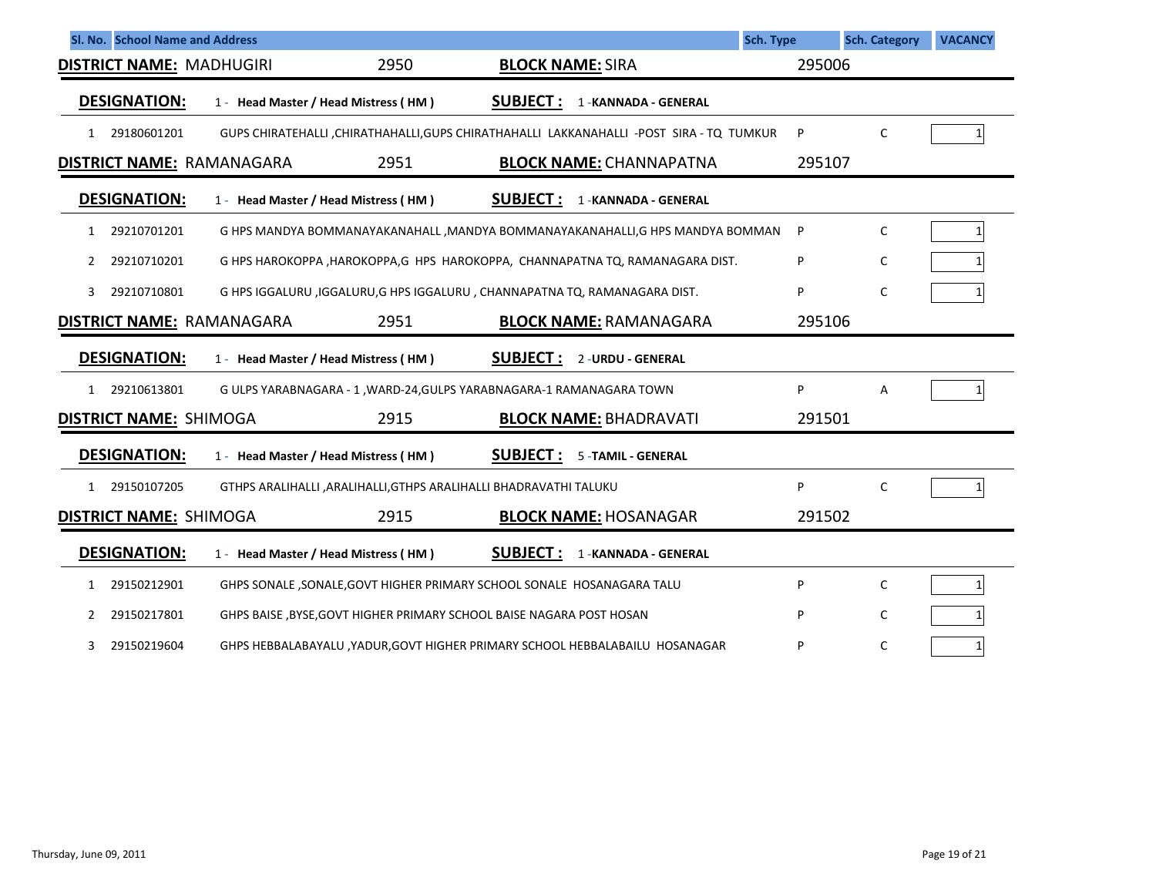| Sl. No. School Name and Address  |                                      |                                                                             |                         |                                                                                           | Sch. Type | <b>Sch. Category</b> | <b>VACANCY</b> |
|----------------------------------|--------------------------------------|-----------------------------------------------------------------------------|-------------------------|-------------------------------------------------------------------------------------------|-----------|----------------------|----------------|
| <b>DISTRICT NAME: MADHUGIRI</b>  |                                      | 2950                                                                        | <b>BLOCK NAME: SIRA</b> |                                                                                           |           | 295006               |                |
| <b>DESIGNATION:</b>              | 1 - Head Master / Head Mistress (HM) |                                                                             | <b>SUBJECT:</b>         | 1 - KANNADA - GENERAL                                                                     |           |                      |                |
| 29180601201<br>1                 |                                      |                                                                             |                         | GUPS CHIRATEHALLI , CHIRATHAHALLI, GUPS CHIRATHAHALLI LAKKANAHALLI -POST SIRA - TQ TUMKUR | P         | C                    |                |
| <b>DISTRICT NAME: RAMANAGARA</b> |                                      | 2951                                                                        |                         | <b>BLOCK NAME: CHANNAPATNA</b>                                                            |           | 295107               |                |
| <b>DESIGNATION:</b>              | 1 - Head Master / Head Mistress (HM) |                                                                             | <b>SUBJECT:</b>         | 1 - KANNADA - GENERAL                                                                     |           |                      |                |
| 29210701201<br>1                 |                                      |                                                                             |                         | G HPS MANDYA BOMMANAYAKANAHALL , MANDYA BOMMANAYAKANAHALLI, G HPS MANDYA BOMMAN           | P         | C                    |                |
| 29210710201<br>2                 |                                      |                                                                             |                         | G HPS HAROKOPPA, HAROKOPPA, G HPS HAROKOPPA, CHANNAPATNA TQ, RAMANAGARA DIST.             | P         | C                    |                |
| 29210710801<br>3                 |                                      | G HPS IGGALURU , IGGALURU, G HPS IGGALURU, CHANNAPATNA TQ, RAMANAGARA DIST. |                         |                                                                                           | P         | C                    |                |
| <b>DISTRICT NAME: RAMANAGARA</b> |                                      | 2951                                                                        |                         | <b>BLOCK NAME: RAMANAGARA</b>                                                             |           | 295106               |                |
| <b>DESIGNATION:</b>              | 1 - Head Master / Head Mistress (HM) |                                                                             | <b>SUBJECT:</b>         | 2 - URDU - GENERAL                                                                        |           |                      |                |
| 29210613801<br>$\mathbf{1}$      |                                      | G ULPS YARABNAGARA - 1, WARD-24, GULPS YARABNAGARA-1 RAMANAGARA TOWN        |                         |                                                                                           | P         | Α                    |                |
| <b>DISTRICT NAME: SHIMOGA</b>    |                                      | 2915                                                                        |                         | <b>BLOCK NAME: BHADRAVATI</b>                                                             |           | 291501               |                |
| <b>DESIGNATION:</b>              | 1 - Head Master / Head Mistress (HM) |                                                                             | <b>SUBJECT:</b>         | 5 - TAMIL - GENERAL                                                                       |           |                      |                |
| 29150107205<br>$\mathbf{1}$      |                                      | GTHPS ARALIHALLI , ARALIHALLI, GTHPS ARALIHALLI BHADRAVATHI TALUKU          |                         |                                                                                           | P         | $\mathsf{C}$         |                |
| <b>DISTRICT NAME: SHIMOGA</b>    |                                      | 2915                                                                        |                         | <b>BLOCK NAME: HOSANAGAR</b>                                                              |           | 291502               |                |
| <b>DESIGNATION:</b>              | 1 - Head Master / Head Mistress (HM) |                                                                             | <b>SUBJECT:</b>         | 1 - KANNADA - GENERAL                                                                     |           |                      |                |
| 29150212901<br>1                 |                                      | GHPS SONALE, SONALE, GOVT HIGHER PRIMARY SCHOOL SONALE HOSANAGARA TALU      |                         |                                                                                           | P         | C                    |                |
| 29150217801<br>2                 |                                      | GHPS BAISE, BYSE, GOVT HIGHER PRIMARY SCHOOL BAISE NAGARA POST HOSAN        |                         |                                                                                           | P         | C                    |                |
| 29150219604<br>3                 |                                      |                                                                             |                         | GHPS HEBBALABAYALU, YADUR, GOVT HIGHER PRIMARY SCHOOL HEBBALABAILU HOSANAGAR              | P         | C                    | $\mathbf{1}$   |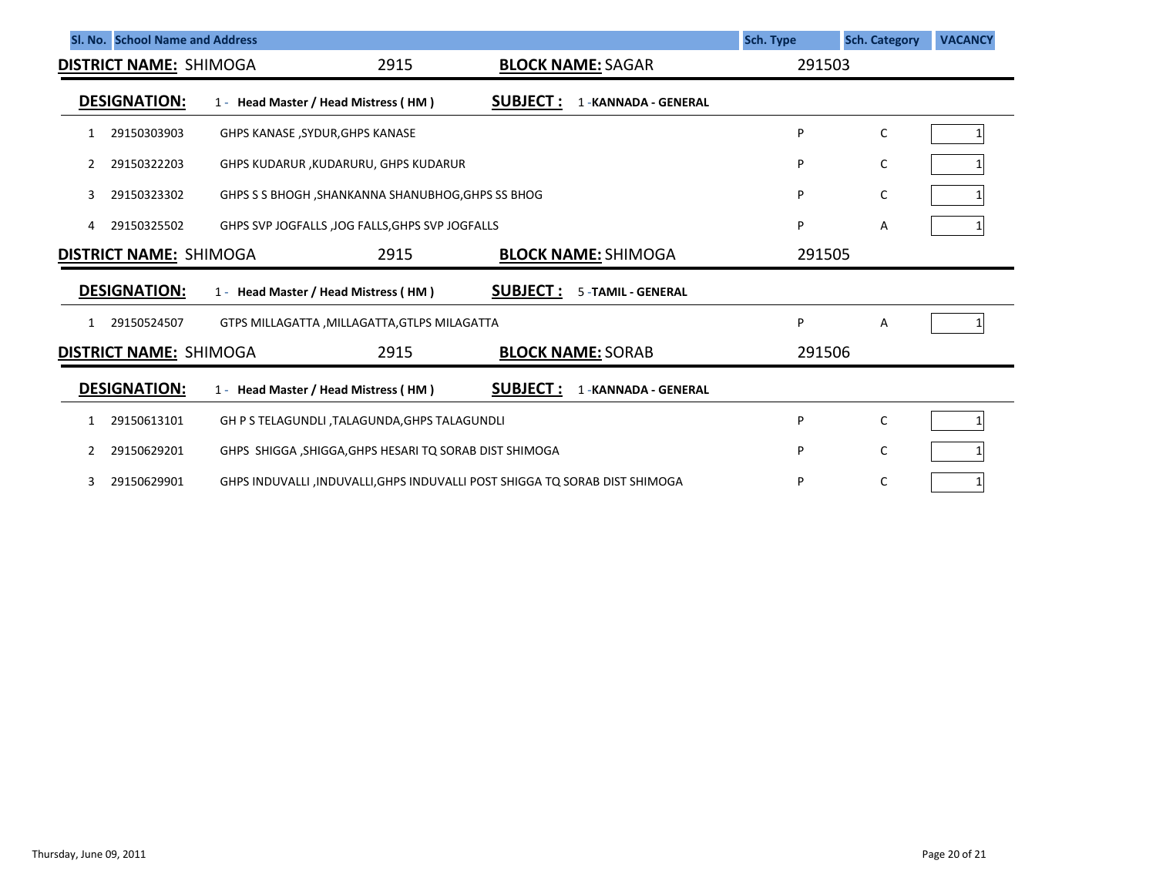|   | SI. No. School Name and Address |                                                                             |                                               |                                             | Sch. Type | <b>Sch. Category</b> | <b>VACANCY</b> |
|---|---------------------------------|-----------------------------------------------------------------------------|-----------------------------------------------|---------------------------------------------|-----------|----------------------|----------------|
|   | <b>DISTRICT NAME: SHIMOGA</b>   |                                                                             | 2915                                          | <b>BLOCK NAME: SAGAR</b>                    | 291503    |                      |                |
|   | <b>DESIGNATION:</b>             |                                                                             | 1 - Head Master / Head Mistress (HM)          | <b>SUBJECT:</b><br>1 - KANNADA - GENERAL    |           |                      |                |
| 1 | 29150303903                     |                                                                             | GHPS KANASE , SYDUR, GHPS KANASE              |                                             | P         | $\mathsf C$          |                |
| 2 | 29150322203                     |                                                                             | GHPS KUDARUR , KUDARURU, GHPS KUDARUR         |                                             | P         | С                    |                |
| 3 | 29150323302                     | GHPS S S BHOGH, SHANKANNA SHANUBHOG, GHPS SS BHOG                           | P                                             | С                                           |           |                      |                |
| 4 | 29150325502                     | GHPS SVP JOGFALLS , JOG FALLS, GHPS SVP JOGFALLS                            |                                               |                                             | P         | Α                    |                |
|   | <b>DISTRICT NAME: SHIMOGA</b>   |                                                                             | 2915                                          | <b>BLOCK NAME: SHIMOGA</b>                  | 291505    |                      |                |
|   | <b>DESIGNATION:</b>             |                                                                             | 1 - Head Master / Head Mistress (HM)          | <b>SUBJECT:</b><br><b>5-TAMIL - GENERAL</b> |           |                      |                |
| 1 | 29150524507                     |                                                                             | GTPS MILLAGATTA , MILLAGATTA, GTLPS MILAGATTA |                                             | P         | Α                    |                |
|   | <b>DISTRICT NAME: SHIMOGA</b>   |                                                                             | 2915                                          | <b>BLOCK NAME: SORAB</b>                    | 291506    |                      |                |
|   | <b>DESIGNATION:</b>             |                                                                             | 1 - Head Master / Head Mistress (HM)          | <b>SUBJECT:</b><br>1 - KANNADA - GENERAL    |           |                      |                |
| 1 | 29150613101                     |                                                                             | GH P S TELAGUNDLI, TALAGUNDA, GHPS TALAGUNDLI |                                             | P         | $\mathsf C$          |                |
| 2 | 29150629201                     | GHPS SHIGGA, SHIGGA, GHPS HESARI TQ SORAB DIST SHIMOGA                      |                                               |                                             | P         | С                    |                |
|   | 29150629901                     | GHPS INDUVALLI, INDUVALLI, GHPS INDUVALLI POST SHIGGA TO SORAB DIST SHIMOGA | P                                             | C                                           |           |                      |                |